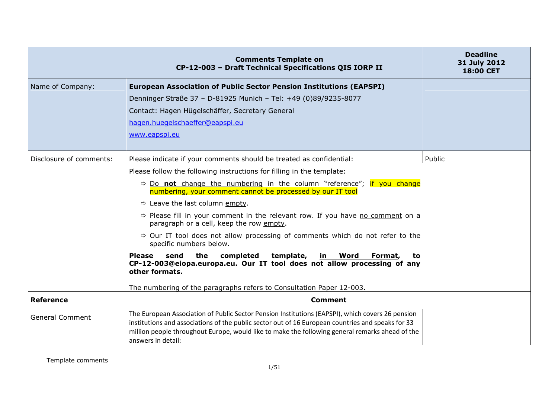|                         | <b>Comments Template on</b><br>CP-12-003 - Draft Technical Specifications QIS IORP II                                                                                                                                                                                                                                          | <b>Deadline</b><br>31 July 2012<br><b>18:00 CET</b> |
|-------------------------|--------------------------------------------------------------------------------------------------------------------------------------------------------------------------------------------------------------------------------------------------------------------------------------------------------------------------------|-----------------------------------------------------|
| Name of Company:        | <b>European Association of Public Sector Pension Institutions (EAPSPI)</b>                                                                                                                                                                                                                                                     |                                                     |
|                         | Denninger Straße 37 - D-81925 Munich - Tel: +49 (0)89/9235-8077                                                                                                                                                                                                                                                                |                                                     |
|                         | Contact: Hagen Hügelschäffer, Secretary General                                                                                                                                                                                                                                                                                |                                                     |
|                         | hagen.huegelschaeffer@eapspi.eu                                                                                                                                                                                                                                                                                                |                                                     |
|                         | www.eapspi.eu                                                                                                                                                                                                                                                                                                                  |                                                     |
|                         |                                                                                                                                                                                                                                                                                                                                |                                                     |
| Disclosure of comments: | Please indicate if your comments should be treated as confidential:                                                                                                                                                                                                                                                            | Public                                              |
|                         | Please follow the following instructions for filling in the template:                                                                                                                                                                                                                                                          |                                                     |
|                         | $\Rightarrow$ Do not change the numbering in the column "reference"; if you change<br>numbering, your comment cannot be processed by our IT tool                                                                                                                                                                               |                                                     |
|                         | $\Rightarrow$ Leave the last column empty.                                                                                                                                                                                                                                                                                     |                                                     |
|                         | $\Rightarrow$ Please fill in your comment in the relevant row. If you have no comment on a<br>paragraph or a cell, keep the row empty.                                                                                                                                                                                         |                                                     |
|                         | $\Rightarrow$ Our IT tool does not allow processing of comments which do not refer to the<br>specific numbers below.                                                                                                                                                                                                           |                                                     |
|                         | the<br>template,<br><b>Please</b><br>send<br>completed<br><u>in Word</u><br>Format,<br>to<br>CP-12-003@eiopa.europa.eu. Our IT tool does not allow processing of any<br>other formats.                                                                                                                                         |                                                     |
|                         | The numbering of the paragraphs refers to Consultation Paper 12-003.                                                                                                                                                                                                                                                           |                                                     |
| <b>Reference</b>        | <b>Comment</b>                                                                                                                                                                                                                                                                                                                 |                                                     |
| <b>General Comment</b>  | The European Association of Public Sector Pension Institutions (EAPSPI), which covers 26 pension<br>institutions and associations of the public sector out of 16 European countries and speaks for 33<br>million people throughout Europe, would like to make the following general remarks ahead of the<br>answers in detail: |                                                     |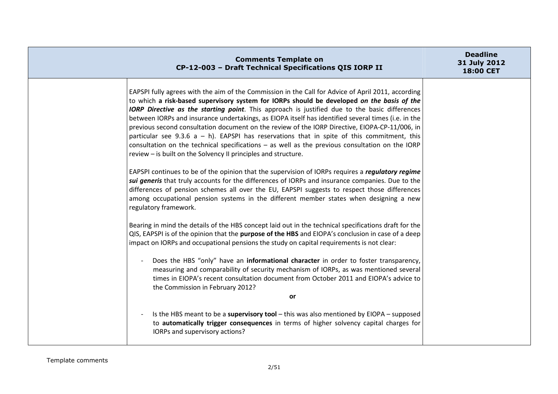| <b>Comments Template on</b><br>CP-12-003 - Draft Technical Specifications QIS IORP II                                                                                                                                                                                                                                                                                                                                                                                                                                                                                                                                                                                                                                                                                               | <b>Deadline</b><br>31 July 2012<br>18:00 CET |
|-------------------------------------------------------------------------------------------------------------------------------------------------------------------------------------------------------------------------------------------------------------------------------------------------------------------------------------------------------------------------------------------------------------------------------------------------------------------------------------------------------------------------------------------------------------------------------------------------------------------------------------------------------------------------------------------------------------------------------------------------------------------------------------|----------------------------------------------|
| EAPSPI fully agrees with the aim of the Commission in the Call for Advice of April 2011, according<br>to which a risk-based supervisory system for IORPs should be developed on the basis of the<br>IORP Directive as the starting point. This approach is justified due to the basic differences<br>between IORPs and insurance undertakings, as EIOPA itself has identified several times (i.e. in the<br>previous second consultation document on the review of the IORP Directive, EIOPA-CP-11/006, in<br>particular see 9.3.6 $a - h$ ). EAPSPI has reservations that in spite of this commitment, this<br>consultation on the technical specifications $-$ as well as the previous consultation on the IORP<br>review - is built on the Solvency II principles and structure. |                                              |
| EAPSPI continues to be of the opinion that the supervision of IORPs requires a regulatory regime<br>sui generis that truly accounts for the differences of IORPs and insurance companies. Due to the<br>differences of pension schemes all over the EU, EAPSPI suggests to respect those differences<br>among occupational pension systems in the different member states when designing a new<br>regulatory framework.                                                                                                                                                                                                                                                                                                                                                             |                                              |
| Bearing in mind the details of the HBS concept laid out in the technical specifications draft for the<br>QIS, EAPSPI is of the opinion that the purpose of the HBS and EIOPA's conclusion in case of a deep<br>impact on IORPs and occupational pensions the study on capital requirements is not clear:                                                                                                                                                                                                                                                                                                                                                                                                                                                                            |                                              |
| Does the HBS "only" have an informational character in order to foster transparency,<br>measuring and comparability of security mechanism of IORPs, as was mentioned several<br>times in EIOPA's recent consultation document from October 2011 and EIOPA's advice to<br>the Commission in February 2012?                                                                                                                                                                                                                                                                                                                                                                                                                                                                           |                                              |
| or                                                                                                                                                                                                                                                                                                                                                                                                                                                                                                                                                                                                                                                                                                                                                                                  |                                              |
| Is the HBS meant to be a supervisory tool $-$ this was also mentioned by EIOPA $-$ supposed<br>to automatically trigger consequences in terms of higher solvency capital charges for<br>IORPs and supervisory actions?                                                                                                                                                                                                                                                                                                                                                                                                                                                                                                                                                              |                                              |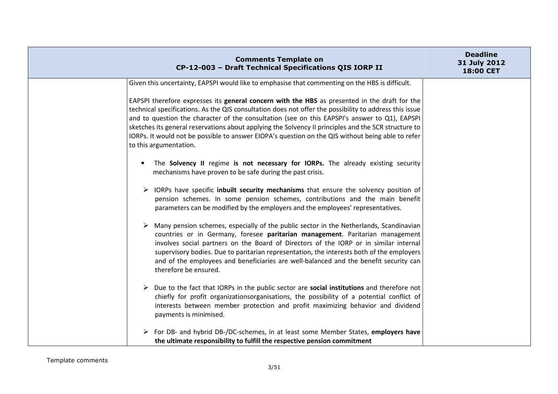|                                                                                                                                                                                                                                                                                                                                                                                                                                                                                                                                                 | <b>Comments Template on</b><br>CP-12-003 - Draft Technical Specifications QIS IORP II                                                                                                                                                                                                                                                                                                                                                                  | <b>Deadline</b><br>31 July 2012<br>18:00 CET |
|-------------------------------------------------------------------------------------------------------------------------------------------------------------------------------------------------------------------------------------------------------------------------------------------------------------------------------------------------------------------------------------------------------------------------------------------------------------------------------------------------------------------------------------------------|--------------------------------------------------------------------------------------------------------------------------------------------------------------------------------------------------------------------------------------------------------------------------------------------------------------------------------------------------------------------------------------------------------------------------------------------------------|----------------------------------------------|
| Given this uncertainty, EAPSPI would like to emphasise that commenting on the HBS is difficult.                                                                                                                                                                                                                                                                                                                                                                                                                                                 |                                                                                                                                                                                                                                                                                                                                                                                                                                                        |                                              |
| EAPSPI therefore expresses its general concern with the HBS as presented in the draft for the<br>technical specifications. As the QIS consultation does not offer the possibility to address this issue<br>and to question the character of the consultation (see on this EAPSPI's answer to Q1), EAPSPI<br>sketches its general reservations about applying the Solvency II principles and the SCR structure to<br>IORPs. It would not be possible to answer EIOPA's question on the QIS without being able to refer<br>to this argumentation. |                                                                                                                                                                                                                                                                                                                                                                                                                                                        |                                              |
| mechanisms have proven to be safe during the past crisis.                                                                                                                                                                                                                                                                                                                                                                                                                                                                                       | The Solvency II regime is not necessary for IORPs. The already existing security                                                                                                                                                                                                                                                                                                                                                                       |                                              |
|                                                                                                                                                                                                                                                                                                                                                                                                                                                                                                                                                 | IORPs have specific inbuilt security mechanisms that ensure the solvency position of<br>pension schemes. In some pension schemes, contributions and the main benefit<br>parameters can be modified by the employers and the employees' representatives.                                                                                                                                                                                                |                                              |
| therefore be ensured.                                                                                                                                                                                                                                                                                                                                                                                                                                                                                                                           | Many pension schemes, especially of the public sector in the Netherlands, Scandinavian<br>countries or in Germany, foresee paritarian management. Paritarian management<br>involves social partners on the Board of Directors of the IORP or in similar internal<br>supervisory bodies. Due to paritarian representation, the interests both of the employers<br>and of the employees and beneficiaries are well-balanced and the benefit security can |                                              |
| payments is minimised.                                                                                                                                                                                                                                                                                                                                                                                                                                                                                                                          | $\triangleright$ Due to the fact that IORPs in the public sector are social institutions and therefore not<br>chiefly for profit organizationsorganisations, the possibility of a potential conflict of<br>interests between member protection and profit maximizing behavior and dividend                                                                                                                                                             |                                              |
| the ultimate responsibility to fulfill the respective pension commitment                                                                                                                                                                                                                                                                                                                                                                                                                                                                        | For DB- and hybrid DB-/DC-schemes, in at least some Member States, employers have                                                                                                                                                                                                                                                                                                                                                                      |                                              |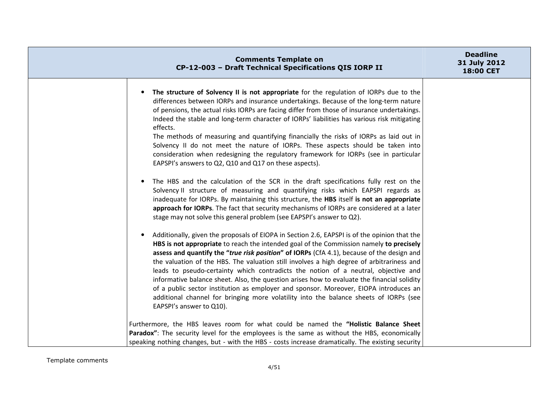| <b>Comments Template on</b><br>CP-12-003 - Draft Technical Specifications QIS IORP II                                                                                                                                                                                                                                                                                                                                                                                                                                                                                                                                                                                                                                                                                                                                                                                                                                                                                                             | <b>Deadline</b><br>31 July 2012<br>18:00 CET |
|---------------------------------------------------------------------------------------------------------------------------------------------------------------------------------------------------------------------------------------------------------------------------------------------------------------------------------------------------------------------------------------------------------------------------------------------------------------------------------------------------------------------------------------------------------------------------------------------------------------------------------------------------------------------------------------------------------------------------------------------------------------------------------------------------------------------------------------------------------------------------------------------------------------------------------------------------------------------------------------------------|----------------------------------------------|
| The structure of Solvency II is not appropriate for the regulation of IORPs due to the<br>differences between IORPs and insurance undertakings. Because of the long-term nature<br>of pensions, the actual risks IORPs are facing differ from those of insurance undertakings.<br>Indeed the stable and long-term character of IORPs' liabilities has various risk mitigating<br>effects.<br>The methods of measuring and quantifying financially the risks of IORPs as laid out in<br>Solvency II do not meet the nature of IORPs. These aspects should be taken into<br>consideration when redesigning the regulatory framework for IORPs (see in particular<br>EAPSPI's answers to Q2, Q10 and Q17 on these aspects).<br>The HBS and the calculation of the SCR in the draft specifications fully rest on the<br>Solvency II structure of measuring and quantifying risks which EAPSPI regards as<br>inadequate for IORPs. By maintaining this structure, the HBS itself is not an appropriate |                                              |
| approach for IORPs. The fact that security mechanisms of IORPs are considered at a later<br>stage may not solve this general problem (see EAPSPI's answer to Q2).                                                                                                                                                                                                                                                                                                                                                                                                                                                                                                                                                                                                                                                                                                                                                                                                                                 |                                              |
| Additionally, given the proposals of EIOPA in Section 2.6, EAPSPI is of the opinion that the<br>$\bullet$<br>HBS is not appropriate to reach the intended goal of the Commission namely to precisely<br>assess and quantify the "true risk position" of IORPs (CfA 4.1), because of the design and<br>the valuation of the HBS. The valuation still involves a high degree of arbitrariness and<br>leads to pseudo-certainty which contradicts the notion of a neutral, objective and<br>informative balance sheet. Also, the question arises how to evaluate the financial solidity<br>of a public sector institution as employer and sponsor. Moreover, EIOPA introduces an<br>additional channel for bringing more volatility into the balance sheets of IORPs (see<br>EAPSPI's answer to Q10).                                                                                                                                                                                                |                                              |
| Furthermore, the HBS leaves room for what could be named the "Holistic Balance Sheet                                                                                                                                                                                                                                                                                                                                                                                                                                                                                                                                                                                                                                                                                                                                                                                                                                                                                                              |                                              |
| Paradox": The security level for the employees is the same as without the HBS, economically<br>speaking nothing changes, but - with the HBS - costs increase dramatically. The existing security                                                                                                                                                                                                                                                                                                                                                                                                                                                                                                                                                                                                                                                                                                                                                                                                  |                                              |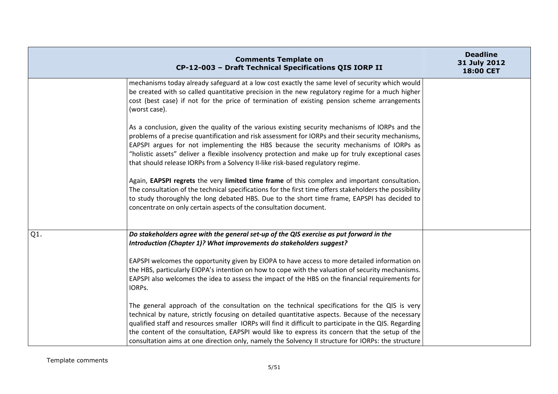|        | <b>Comments Template on</b><br>CP-12-003 - Draft Technical Specifications QIS IORP II                                                                                                                                                                                                                                                                                                                                                                                                                                                                                                                                                                                                                                                                                                                                                                                    | <b>Deadline</b><br>31 July 2012<br>18:00 CET |
|--------|--------------------------------------------------------------------------------------------------------------------------------------------------------------------------------------------------------------------------------------------------------------------------------------------------------------------------------------------------------------------------------------------------------------------------------------------------------------------------------------------------------------------------------------------------------------------------------------------------------------------------------------------------------------------------------------------------------------------------------------------------------------------------------------------------------------------------------------------------------------------------|----------------------------------------------|
|        | mechanisms today already safeguard at a low cost exactly the same level of security which would<br>be created with so called quantitative precision in the new regulatory regime for a much higher<br>cost (best case) if not for the price of termination of existing pension scheme arrangements<br>(worst case).                                                                                                                                                                                                                                                                                                                                                                                                                                                                                                                                                      |                                              |
|        | As a conclusion, given the quality of the various existing security mechanisms of IORPs and the<br>problems of a precise quantification and risk assessment for IORPs and their security mechanisms,<br>EAPSPI argues for not implementing the HBS because the security mechanisms of IORPs as<br>"holistic assets" deliver a flexible insolvency protection and make up for truly exceptional cases<br>that should release IORPs from a Solvency II-like risk-based regulatory regime.<br>Again, EAPSPI regrets the very limited time frame of this complex and important consultation.<br>The consultation of the technical specifications for the first time offers stakeholders the possibility<br>to study thoroughly the long debated HBS. Due to the short time frame, EAPSPI has decided to<br>concentrate on only certain aspects of the consultation document. |                                              |
| $Q1$ . | Do stakeholders agree with the general set-up of the QIS exercise as put forward in the<br>Introduction (Chapter 1)? What improvements do stakeholders suggest?<br>EAPSPI welcomes the opportunity given by EIOPA to have access to more detailed information on<br>the HBS, particularly EIOPA's intention on how to cope with the valuation of security mechanisms.<br>EAPSPI also welcomes the idea to assess the impact of the HBS on the financial requirements for<br>IORPS.<br>The general approach of the consultation on the technical specifications for the QIS is very<br>technical by nature, strictly focusing on detailed quantitative aspects. Because of the necessary<br>qualified staff and resources smaller IORPs will find it difficult to participate in the QIS. Regarding                                                                       |                                              |
|        | the content of the consultation, EAPSPI would like to express its concern that the setup of the<br>consultation aims at one direction only, namely the Solvency II structure for IORPs: the structure                                                                                                                                                                                                                                                                                                                                                                                                                                                                                                                                                                                                                                                                    |                                              |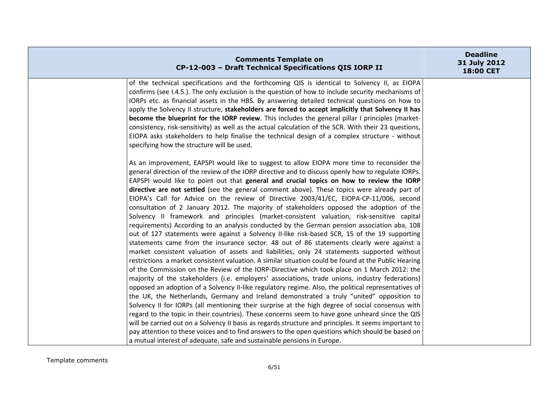| <b>Comments Template on</b><br>CP-12-003 - Draft Technical Specifications QIS IORP II                                                                                                               | <b>Deadline</b><br>31 July 2012<br>18:00 CET |
|-----------------------------------------------------------------------------------------------------------------------------------------------------------------------------------------------------|----------------------------------------------|
| of the technical specifications and the forthcoming QIS is identical to Solvency II, as EIOPA<br>confirms (see I.4.5.). The only exclusion is the question of how to include security mechanisms of |                                              |
| IORPs etc. as financial assets in the HBS. By answering detailed technical questions on how to                                                                                                      |                                              |
| apply the Solvency II structure, stakeholders are forced to accept implicitly that Solvency II has                                                                                                  |                                              |
| become the blueprint for the IORP review. This includes the general pillar I principles (market-                                                                                                    |                                              |
| consistency, risk-sensitivity) as well as the actual calculation of the SCR. With their 23 questions,                                                                                               |                                              |
| EIOPA asks stakeholders to help finalise the technical design of a complex structure - without                                                                                                      |                                              |
| specifying how the structure will be used.                                                                                                                                                          |                                              |
| As an improvement, EAPSPI would like to suggest to allow EIOPA more time to reconsider the                                                                                                          |                                              |
| general direction of the review of the IORP directive and to discuss openly how to regulate IORPs.                                                                                                  |                                              |
| EAPSPI would like to point out that general and crucial topics on how to review the IORP                                                                                                            |                                              |
| directive are not settled (see the general comment above). These topics were already part of                                                                                                        |                                              |
| EIOPA's Call for Advice on the review of Directive 2003/41/EC, EIOPA-CP-11/006, second                                                                                                              |                                              |
| consultation of 2 January 2012. The majority of stakeholders opposed the adoption of the                                                                                                            |                                              |
| Solvency II framework and principles (market-consistent valuation, risk-sensitive capital                                                                                                           |                                              |
| requirements) According to an analysis conducted by the German pension association aba, 108<br>out of 127 statements were against a Solvency II-like risk-based SCR, 15 of the 19 supporting        |                                              |
| statements came from the insurance sector. 48 out of 86 statements clearly were against a                                                                                                           |                                              |
| market consistent valuation of assets and liabilities, only 24 statements supported without                                                                                                         |                                              |
| restrictions a market consistent valuation. A similar situation could be found at the Public Hearing                                                                                                |                                              |
| of the Commission on the Review of the IORP-Directive which took place on 1 March 2012: the                                                                                                         |                                              |
| majority of the stakeholders (i.e. employers' associations, trade unions, industry federations)                                                                                                     |                                              |
| opposed an adoption of a Solvency II-like regulatory regime. Also, the political representatives of                                                                                                 |                                              |
| the UK, the Netherlands, Germany and Ireland demonstrated a truly "united" opposition to                                                                                                            |                                              |
| Solvency II for IORPs (all mentioning their surprise at the high degree of social consensus with                                                                                                    |                                              |
| regard to the topic in their countries). These concerns seem to have gone unheard since the QIS                                                                                                     |                                              |
| will be carried out on a Solvency II basis as regards structure and principles. It seems important to                                                                                               |                                              |
| pay attention to these voices and to find answers to the open questions which should be based on                                                                                                    |                                              |
| a mutual interest of adequate, safe and sustainable pensions in Europe.                                                                                                                             |                                              |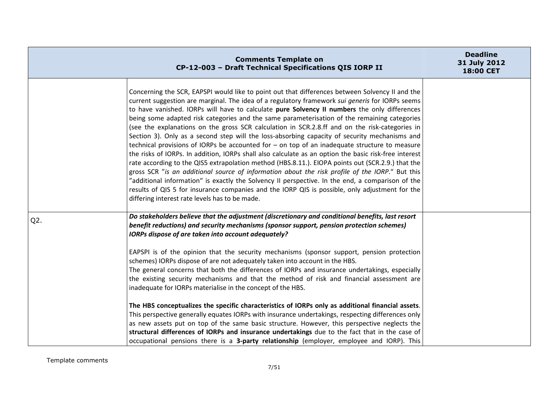|        | <b>Comments Template on</b><br>CP-12-003 - Draft Technical Specifications QIS IORP II                                                                                                                                                                                                                                                                                                                                                                                                                                                                                                                                                                                                                                                                                                                                                                                                                                                                                                                                                                                                                                                                                                                                                                                             | <b>Deadline</b><br>31 July 2012<br><b>18:00 CET</b> |
|--------|-----------------------------------------------------------------------------------------------------------------------------------------------------------------------------------------------------------------------------------------------------------------------------------------------------------------------------------------------------------------------------------------------------------------------------------------------------------------------------------------------------------------------------------------------------------------------------------------------------------------------------------------------------------------------------------------------------------------------------------------------------------------------------------------------------------------------------------------------------------------------------------------------------------------------------------------------------------------------------------------------------------------------------------------------------------------------------------------------------------------------------------------------------------------------------------------------------------------------------------------------------------------------------------|-----------------------------------------------------|
|        | Concerning the SCR, EAPSPI would like to point out that differences between Solvency II and the<br>current suggestion are marginal. The idea of a regulatory framework sui generis for IORPs seems<br>to have vanished. IORPs will have to calculate pure Solvency II numbers the only differences<br>being some adapted risk categories and the same parameterisation of the remaining categories<br>(see the explanations on the gross SCR calculation in SCR.2.8.ff and on the risk-categories in<br>Section 3). Only as a second step will the loss-absorbing capacity of security mechanisms and<br>technical provisions of IORPs be accounted for $-$ on top of an inadequate structure to measure<br>the risks of IORPs. In addition, IORPs shall also calculate as an option the basic risk-free interest<br>rate according to the QIS5 extrapolation method (HBS.8.11.). EIOPA points out (SCR.2.9.) that the<br>gross SCR "is an additional source of information about the risk profile of the IORP." But this<br>"additional information" is exactly the Solvency II perspective. In the end, a comparison of the<br>results of QIS 5 for insurance companies and the IORP QIS is possible, only adjustment for the<br>differing interest rate levels has to be made. |                                                     |
| $Q2$ . | Do stakeholders believe that the adjustment (discretionary and conditional benefits, last resort<br>benefit reductions) and security mechanisms (sponsor support, pension protection schemes)<br>IORPs dispose of are taken into account adequately?<br>EAPSPI is of the opinion that the security mechanisms (sponsor support, pension protection<br>schemes) IORPs dispose of are not adequately taken into account in the HBS.<br>The general concerns that both the differences of IORPs and insurance undertakings, especially<br>the existing security mechanisms and that the method of risk and financial assessment are<br>inadequate for IORPs materialise in the concept of the HBS.<br>The HBS conceptualizes the specific characteristics of IORPs only as additional financial assets.<br>This perspective generally equates IORPs with insurance undertakings, respecting differences only                                                                                                                                                                                                                                                                                                                                                                         |                                                     |
|        | as new assets put on top of the same basic structure. However, this perspective neglects the<br>structural differences of IORPs and insurance undertakings due to the fact that in the case of<br>occupational pensions there is a 3-party relationship (employer, employee and IORP). This                                                                                                                                                                                                                                                                                                                                                                                                                                                                                                                                                                                                                                                                                                                                                                                                                                                                                                                                                                                       |                                                     |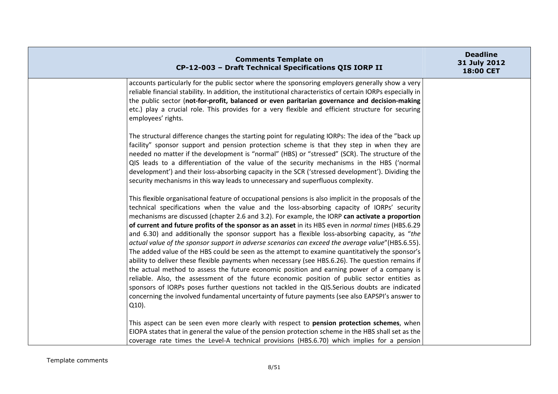| <b>Comments Template on</b><br>CP-12-003 - Draft Technical Specifications QIS IORP II                                                                                                                                                                                                                                                                                                                                                                                                                                                                                                                                                                                                                                                                                                                                                                                                                                                                                                                                                                                                                                                                                                                                                   | <b>Deadline</b><br>31 July 2012<br>18:00 CET |
|-----------------------------------------------------------------------------------------------------------------------------------------------------------------------------------------------------------------------------------------------------------------------------------------------------------------------------------------------------------------------------------------------------------------------------------------------------------------------------------------------------------------------------------------------------------------------------------------------------------------------------------------------------------------------------------------------------------------------------------------------------------------------------------------------------------------------------------------------------------------------------------------------------------------------------------------------------------------------------------------------------------------------------------------------------------------------------------------------------------------------------------------------------------------------------------------------------------------------------------------|----------------------------------------------|
| accounts particularly for the public sector where the sponsoring employers generally show a very<br>reliable financial stability. In addition, the institutional characteristics of certain IORPs especially in<br>the public sector (not-for-profit, balanced or even paritarian governance and decision-making<br>etc.) play a crucial role. This provides for a very flexible and efficient structure for securing<br>employees' rights.                                                                                                                                                                                                                                                                                                                                                                                                                                                                                                                                                                                                                                                                                                                                                                                             |                                              |
| The structural difference changes the starting point for regulating IORPs: The idea of the "back up<br>facility" sponsor support and pension protection scheme is that they step in when they are<br>needed no matter if the development is "normal" (HBS) or "stressed" (SCR). The structure of the<br>QIS leads to a differentiation of the value of the security mechanisms in the HBS ('normal<br>development') and their loss-absorbing capacity in the SCR ('stressed development'). Dividing the<br>security mechanisms in this way leads to unnecessary and superfluous complexity.                                                                                                                                                                                                                                                                                                                                                                                                                                                                                                                                                                                                                                             |                                              |
| This flexible organisational feature of occupational pensions is also implicit in the proposals of the<br>technical specifications when the value and the loss-absorbing capacity of IORPs' security<br>mechanisms are discussed (chapter 2.6 and 3.2). For example, the IORP can activate a proportion<br>of current and future profits of the sponsor as an asset in its HBS even in normal times (HBS.6.29<br>and 6.30) and additionally the sponsor support has a flexible loss-absorbing capacity, as "the<br>actual value of the sponsor support in adverse scenarios can exceed the average value" (HBS.6.55).<br>The added value of the HBS could be seen as the attempt to examine quantitatively the sponsor's<br>ability to deliver these flexible payments when necessary (see HBS.6.26). The question remains if<br>the actual method to assess the future economic position and earning power of a company is<br>reliable. Also, the assessment of the future economic position of public sector entities as<br>sponsors of IORPs poses further questions not tackled in the QIS.Serious doubts are indicated<br>concerning the involved fundamental uncertainty of future payments (see also EAPSPI's answer to<br>Q10). |                                              |
| This aspect can be seen even more clearly with respect to pension protection schemes, when<br>EIOPA states that in general the value of the pension protection scheme in the HBS shall set as the<br>coverage rate times the Level-A technical provisions (HBS.6.70) which implies for a pension                                                                                                                                                                                                                                                                                                                                                                                                                                                                                                                                                                                                                                                                                                                                                                                                                                                                                                                                        |                                              |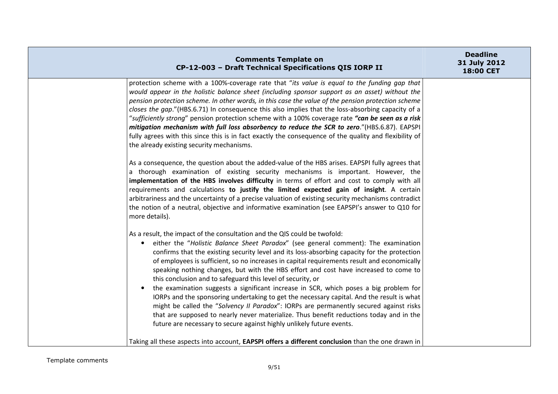| <b>Comments Template on</b><br>CP-12-003 - Draft Technical Specifications QIS IORP II                                                                                                                                                                                                                                                                                                                                                                                                                                                                                                                                                                                                                                                                                                                                                                                                                                                                                                               | <b>Deadline</b><br>31 July 2012<br>18:00 CET |
|-----------------------------------------------------------------------------------------------------------------------------------------------------------------------------------------------------------------------------------------------------------------------------------------------------------------------------------------------------------------------------------------------------------------------------------------------------------------------------------------------------------------------------------------------------------------------------------------------------------------------------------------------------------------------------------------------------------------------------------------------------------------------------------------------------------------------------------------------------------------------------------------------------------------------------------------------------------------------------------------------------|----------------------------------------------|
| protection scheme with a 100%-coverage rate that "its value is equal to the funding gap that<br>would appear in the holistic balance sheet (including sponsor support as an asset) without the<br>pension protection scheme. In other words, in this case the value of the pension protection scheme<br>closes the gap."(HBS.6.71) In consequence this also implies that the loss-absorbing capacity of a<br>"sufficiently strong" pension protection scheme with a 100% coverage rate "can be seen as a risk<br>mitigation mechanism with full loss absorbency to reduce the SCR to zero."(HBS.6.87). EAPSPI<br>fully agrees with this since this is in fact exactly the consequence of the quality and flexibility of<br>the already existing security mechanisms.                                                                                                                                                                                                                                |                                              |
| As a consequence, the question about the added-value of the HBS arises. EAPSPI fully agrees that<br>a thorough examination of existing security mechanisms is important. However, the<br>implementation of the HBS involves difficulty in terms of effort and cost to comply with all<br>requirements and calculations to justify the limited expected gain of insight. A certain<br>arbitrariness and the uncertainty of a precise valuation of existing security mechanisms contradict<br>the notion of a neutral, objective and informative examination (see EAPSPI's answer to Q10 for<br>more details).                                                                                                                                                                                                                                                                                                                                                                                        |                                              |
| As a result, the impact of the consultation and the QIS could be twofold:<br>either the "Holistic Balance Sheet Paradox" (see general comment): The examination<br>$\bullet$<br>confirms that the existing security level and its loss-absorbing capacity for the protection<br>of employees is sufficient, so no increases in capital requirements result and economically<br>speaking nothing changes, but with the HBS effort and cost have increased to come to<br>this conclusion and to safeguard this level of security, or<br>the examination suggests a significant increase in SCR, which poses a big problem for<br>$\bullet$<br>IORPs and the sponsoring undertaking to get the necessary capital. And the result is what<br>might be called the "Solvency II Paradox": IORPs are permanently secured against risks<br>that are supposed to nearly never materialize. Thus benefit reductions today and in the<br>future are necessary to secure against highly unlikely future events. |                                              |
| Taking all these aspects into account, EAPSPI offers a different conclusion than the one drawn in                                                                                                                                                                                                                                                                                                                                                                                                                                                                                                                                                                                                                                                                                                                                                                                                                                                                                                   |                                              |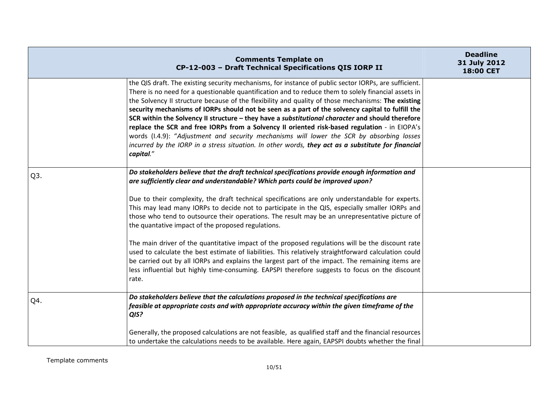|                  | <b>Comments Template on</b><br>CP-12-003 - Draft Technical Specifications QIS IORP II                                                                                                                                                                                                                                                                                                                                                                                                                                                                                                                                                                                                                                                                                                                                                                                                                                                                                      | <b>Deadline</b><br>31 July 2012<br>18:00 CET |
|------------------|----------------------------------------------------------------------------------------------------------------------------------------------------------------------------------------------------------------------------------------------------------------------------------------------------------------------------------------------------------------------------------------------------------------------------------------------------------------------------------------------------------------------------------------------------------------------------------------------------------------------------------------------------------------------------------------------------------------------------------------------------------------------------------------------------------------------------------------------------------------------------------------------------------------------------------------------------------------------------|----------------------------------------------|
|                  | the QIS draft. The existing security mechanisms, for instance of public sector IORPs, are sufficient.<br>There is no need for a questionable quantification and to reduce them to solely financial assets in<br>the Solvency II structure because of the flexibility and quality of those mechanisms: The existing<br>security mechanisms of IORPs should not be seen as a part of the solvency capital to fulfill the<br>SCR within the Solvency II structure - they have a substitutional character and should therefore<br>replace the SCR and free IORPs from a Solvency II oriented risk-based regulation - in EIOPA's<br>words (I.4.9): "Adjustment and security mechanisms will lower the SCR by absorbing losses<br>incurred by the IORP in a stress situation. In other words, they act as a substitute for financial<br>capital."                                                                                                                                |                                              |
| Q <sub>3</sub> . | Do stakeholders believe that the draft technical specifications provide enough information and<br>are sufficiently clear and understandable? Which parts could be improved upon?<br>Due to their complexity, the draft technical specifications are only understandable for experts.<br>This may lead many IORPs to decide not to participate in the QIS, especially smaller IORPs and<br>those who tend to outsource their operations. The result may be an unrepresentative picture of<br>the quantative impact of the proposed regulations.<br>The main driver of the quantitative impact of the proposed regulations will be the discount rate<br>used to calculate the best estimate of liabilities. This relatively straightforward calculation could<br>be carried out by all IORPs and explains the largest part of the impact. The remaining items are<br>less influential but highly time-consuming. EAPSPI therefore suggests to focus on the discount<br>rate. |                                              |
| Q4.              | Do stakeholders believe that the calculations proposed in the technical specifications are<br>feasible at appropriate costs and with appropriate accuracy within the given timeframe of the<br>QIS?<br>Generally, the proposed calculations are not feasible, as qualified staff and the financial resources<br>to undertake the calculations needs to be available. Here again, EAPSPI doubts whether the final                                                                                                                                                                                                                                                                                                                                                                                                                                                                                                                                                           |                                              |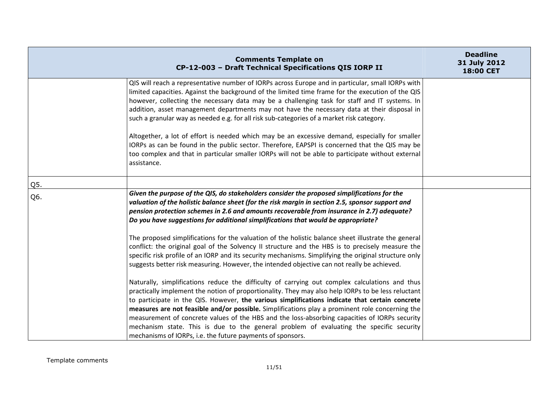|     | <b>Comments Template on</b><br>CP-12-003 - Draft Technical Specifications QIS IORP II                                                                                                                                                                                                                                                                                                                                                                                                                                                                                                                                                                                                                                                                                                                                       | <b>Deadline</b><br>31 July 2012<br>18:00 CET |
|-----|-----------------------------------------------------------------------------------------------------------------------------------------------------------------------------------------------------------------------------------------------------------------------------------------------------------------------------------------------------------------------------------------------------------------------------------------------------------------------------------------------------------------------------------------------------------------------------------------------------------------------------------------------------------------------------------------------------------------------------------------------------------------------------------------------------------------------------|----------------------------------------------|
|     | QIS will reach a representative number of IORPs across Europe and in particular, small IORPs with<br>limited capacities. Against the background of the limited time frame for the execution of the QIS<br>however, collecting the necessary data may be a challenging task for staff and IT systems. In<br>addition, asset management departments may not have the necessary data at their disposal in<br>such a granular way as needed e.g. for all risk sub-categories of a market risk category.<br>Altogether, a lot of effort is needed which may be an excessive demand, especially for smaller<br>IORPs as can be found in the public sector. Therefore, EAPSPI is concerned that the QIS may be<br>too complex and that in particular smaller IORPs will not be able to participate without external<br>assistance. |                                              |
| Q5. |                                                                                                                                                                                                                                                                                                                                                                                                                                                                                                                                                                                                                                                                                                                                                                                                                             |                                              |
| Q6. | Given the purpose of the QIS, do stakeholders consider the proposed simplifications for the<br>valuation of the holistic balance sheet (for the risk margin in section 2.5, sponsor support and<br>pension protection schemes in 2.6 and amounts recoverable from insurance in 2.7) adequate?<br>Do you have suggestions for additional simplifications that would be appropriate?<br>The proposed simplifications for the valuation of the holistic balance sheet illustrate the general<br>conflict: the original goal of the Solvency II structure and the HBS is to precisely measure the<br>specific risk profile of an IORP and its security mechanisms. Simplifying the original structure only<br>suggests better risk measuring. However, the intended objective can not really be achieved.                       |                                              |
|     | Naturally, simplifications reduce the difficulty of carrying out complex calculations and thus<br>practically implement the notion of proportionality. They may also help IORPs to be less reluctant<br>to participate in the QIS. However, the various simplifications indicate that certain concrete<br>measures are not feasible and/or possible. Simplifications play a prominent role concerning the<br>measurement of concrete values of the HBS and the loss-absorbing capacities of IORPs security<br>mechanism state. This is due to the general problem of evaluating the specific security<br>mechanisms of IORPs, i.e. the future payments of sponsors.                                                                                                                                                         |                                              |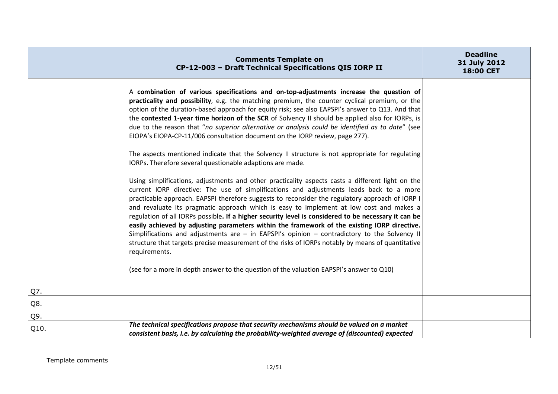|      | <b>Comments Template on</b><br>CP-12-003 - Draft Technical Specifications QIS IORP II                                                                                                                                                                                                                                                                                                                                                                                                                                                                                                                                                                                                                                                                                                                                                                                                                                   | <b>Deadline</b><br>31 July 2012<br>18:00 CET |
|------|-------------------------------------------------------------------------------------------------------------------------------------------------------------------------------------------------------------------------------------------------------------------------------------------------------------------------------------------------------------------------------------------------------------------------------------------------------------------------------------------------------------------------------------------------------------------------------------------------------------------------------------------------------------------------------------------------------------------------------------------------------------------------------------------------------------------------------------------------------------------------------------------------------------------------|----------------------------------------------|
|      | A combination of various specifications and on-top-adjustments increase the question of<br>practicality and possibility, e.g. the matching premium, the counter cyclical premium, or the<br>option of the duration-based approach for equity risk; see also EAPSPI's answer to Q13. And that<br>the contested 1-year time horizon of the SCR of Solvency II should be applied also for IORPs, is<br>due to the reason that "no superior alternative or analysis could be identified as to date" (see<br>EIOPA's EIOPA-CP-11/006 consultation document on the IORP review, page 277).<br>The aspects mentioned indicate that the Solvency II structure is not appropriate for regulating<br>IORPs. Therefore several questionable adaptions are made.                                                                                                                                                                    |                                              |
|      | Using simplifications, adjustments and other practicality aspects casts a different light on the<br>current IORP directive: The use of simplifications and adjustments leads back to a more<br>practicable approach. EAPSPI therefore suggests to reconsider the regulatory approach of IORP I<br>and revaluate its pragmatic approach which is easy to implement at low cost and makes a<br>regulation of all IORPs possible. If a higher security level is considered to be necessary it can be<br>easily achieved by adjusting parameters within the framework of the existing IORP directive.<br>Simplifications and adjustments are $-$ in EAPSPI's opinion $-$ contradictory to the Solvency II<br>structure that targets precise measurement of the risks of IORPs notably by means of quantitative<br>requirements.<br>(see for a more in depth answer to the question of the valuation EAPSPI's answer to Q10) |                                              |
| Q7.  |                                                                                                                                                                                                                                                                                                                                                                                                                                                                                                                                                                                                                                                                                                                                                                                                                                                                                                                         |                                              |
| Q8.  |                                                                                                                                                                                                                                                                                                                                                                                                                                                                                                                                                                                                                                                                                                                                                                                                                                                                                                                         |                                              |
| Q9.  |                                                                                                                                                                                                                                                                                                                                                                                                                                                                                                                                                                                                                                                                                                                                                                                                                                                                                                                         |                                              |
| Q10. | The technical specifications propose that security mechanisms should be valued on a market<br>consistent basis, i.e. by calculating the probability-weighted average of (discounted) expected                                                                                                                                                                                                                                                                                                                                                                                                                                                                                                                                                                                                                                                                                                                           |                                              |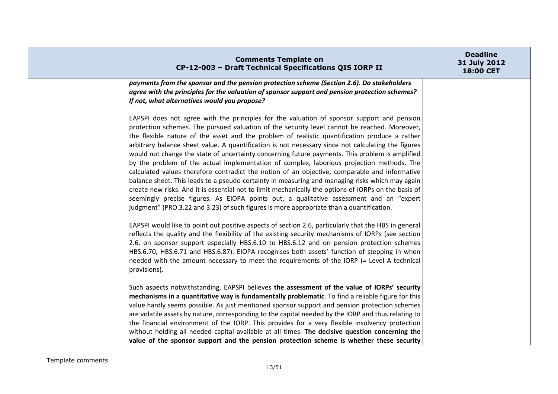| <b>Comments Template on</b><br>CP-12-003 - Draft Technical Specifications QIS IORP II                                                                                                                                                                                                                                                                                                                                                                                                                                                                                                                                                                                                                                                                                                                                                                                                                                                                                                                                                                                                                | <b>Deadline</b><br>31 July 2012<br>18:00 CET |
|------------------------------------------------------------------------------------------------------------------------------------------------------------------------------------------------------------------------------------------------------------------------------------------------------------------------------------------------------------------------------------------------------------------------------------------------------------------------------------------------------------------------------------------------------------------------------------------------------------------------------------------------------------------------------------------------------------------------------------------------------------------------------------------------------------------------------------------------------------------------------------------------------------------------------------------------------------------------------------------------------------------------------------------------------------------------------------------------------|----------------------------------------------|
| payments from the sponsor and the pension protection scheme (Section 2.6). Do stakeholders<br>agree with the principles for the valuation of sponsor support and pension protection schemes?<br>If not, what alternatives would you propose?                                                                                                                                                                                                                                                                                                                                                                                                                                                                                                                                                                                                                                                                                                                                                                                                                                                         |                                              |
| EAPSPI does not agree with the principles for the valuation of sponsor support and pension<br>protection schemes. The pursued valuation of the security level cannot be reached. Moreover,<br>the flexible nature of the asset and the problem of realistic quantification produce a rather<br>arbitrary balance sheet value. A quantification is not necessary since not calculating the figures<br>would not change the state of uncertainty concerning future payments. This problem is amplified<br>by the problem of the actual implementation of complex, laborious projection methods. The<br>calculated values therefore contradict the notion of an objective, comparable and informative<br>balance sheet. This leads to a pseudo-certainty in measuring and managing risks which may again<br>create new risks. And it is essential not to limit mechanically the options of IORPs on the basis of<br>seemingly precise figures. As EIOPA points out, a qualitative assessment and an "expert<br>judgment" (PRO.3.22 and 3.23) of such figures is more appropriate than a quantification. |                                              |
| EAPSPI would like to point out positive aspects of section 2.6, particularly that the HBS in general<br>reflects the quality and the flexibility of the existing security mechanisms of IORPs (see section<br>2.6, on sponsor support especially HBS.6.10 to HBS.6.12 and on pension protection schemes<br>HBS.6.70, HBS.6.71 and HBS.6.87). EIOPA recognises both assets' function of stepping in when<br>needed with the amount necessary to meet the requirements of the IORP (= Level A technical<br>provisions).                                                                                                                                                                                                                                                                                                                                                                                                                                                                                                                                                                                |                                              |
| Such aspects notwithstanding, EAPSPI believes the assessment of the value of IORPs' security<br>mechanisms in a quantitative way is fundamentally problematic. To find a reliable figure for this<br>value hardly seems possible. As just mentioned sponsor support and pension protection schemes<br>are volatile assets by nature, corresponding to the capital needed by the IORP and thus relating to<br>the financial environment of the IORP. This provides for a very flexible insolvency protection<br>without holding all needed capital available at all times. The decisive question concerning the<br>value of the sponsor support and the pension protection scheme is whether these security                                                                                                                                                                                                                                                                                                                                                                                           |                                              |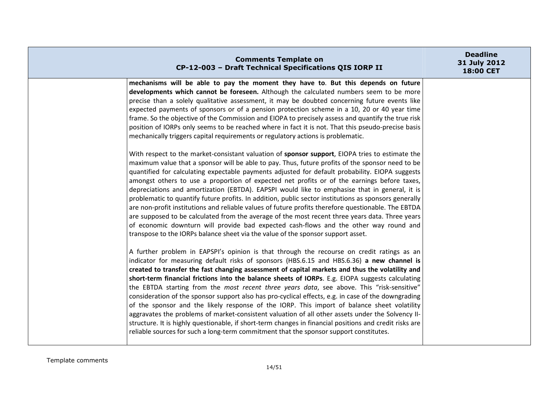| <b>Comments Template on</b><br>CP-12-003 - Draft Technical Specifications QIS IORP II                                                                                                                                                                                                                                                                                                                                                                                                                                                                                                                                                                                                                                                                                                                                                                                                                                                                                                                                                                                                                                                                                                                                                                                                                                                                                                                                                                                                                                                                                                                                                                                                  | <b>Deadline</b><br>31 July 2012<br>18:00 CET |
|----------------------------------------------------------------------------------------------------------------------------------------------------------------------------------------------------------------------------------------------------------------------------------------------------------------------------------------------------------------------------------------------------------------------------------------------------------------------------------------------------------------------------------------------------------------------------------------------------------------------------------------------------------------------------------------------------------------------------------------------------------------------------------------------------------------------------------------------------------------------------------------------------------------------------------------------------------------------------------------------------------------------------------------------------------------------------------------------------------------------------------------------------------------------------------------------------------------------------------------------------------------------------------------------------------------------------------------------------------------------------------------------------------------------------------------------------------------------------------------------------------------------------------------------------------------------------------------------------------------------------------------------------------------------------------------|----------------------------------------------|
| mechanisms will be able to pay the moment they have to. But this depends on future<br>developments which cannot be foreseen. Although the calculated numbers seem to be more<br>precise than a solely qualitative assessment, it may be doubted concerning future events like<br>expected payments of sponsors or of a pension protection scheme in a 10, 20 or 40 year time<br>frame. So the objective of the Commission and EIOPA to precisely assess and quantify the true risk<br>position of IORPs only seems to be reached where in fact it is not. That this pseudo-precise basis<br>mechanically triggers capital requirements or regulatory actions is problematic.<br>With respect to the market-consistant valuation of sponsor support, EIOPA tries to estimate the<br>maximum value that a sponsor will be able to pay. Thus, future profits of the sponsor need to be<br>quantified for calculating expectable payments adjusted for default probability. EIOPA suggests<br>amongst others to use a proportion of expected net profits or of the earnings before taxes,<br>depreciations and amortization (EBTDA). EAPSPI would like to emphasise that in general, it is<br>problematic to quantify future profits. In addition, public sector institutions as sponsors generally<br>are non-profit institutions and reliable values of future profits therefore questionable. The EBTDA<br>are supposed to be calculated from the average of the most recent three years data. Three years<br>of economic downturn will provide bad expected cash-flows and the other way round and<br>transpose to the IORPs balance sheet via the value of the sponsor support asset. |                                              |
| A further problem in EAPSPI's opinion is that through the recourse on credit ratings as an<br>indicator for measuring default risks of sponsors (HBS.6.15 and HBS.6.36) a new channel is<br>created to transfer the fast changing assessment of capital markets and thus the volatility and<br>short-term financial frictions into the balance sheets of IORPs. E.g. EIOPA suggests calculating<br>the EBTDA starting from the most recent three years data, see above. This "risk-sensitive"<br>consideration of the sponsor support also has pro-cyclical effects, e.g. in case of the downgrading<br>of the sponsor and the likely response of the IORP. This import of balance sheet volatility<br>aggravates the problems of market-consistent valuation of all other assets under the Solvency II-<br>structure. It is highly questionable, if short-term changes in financial positions and credit risks are<br>reliable sources for such a long-term commitment that the sponsor support constitutes.                                                                                                                                                                                                                                                                                                                                                                                                                                                                                                                                                                                                                                                                          |                                              |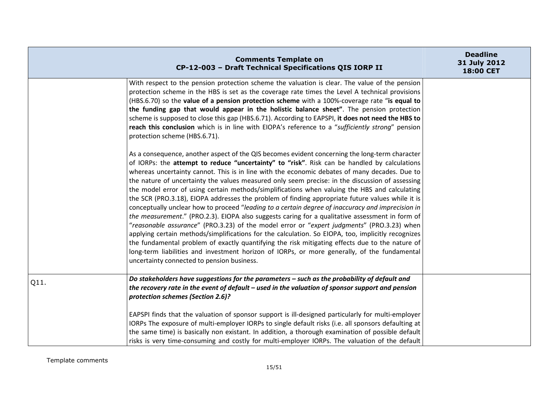|      | <b>Comments Template on</b><br>CP-12-003 - Draft Technical Specifications QIS IORP II                                                                                                                                                                                                                                                                                                                                                                                                                                                                                                                                                                                                                                                                                                                                                                                                                                                                                                                                                          | <b>Deadline</b><br>31 July 2012<br>18:00 CET |
|------|------------------------------------------------------------------------------------------------------------------------------------------------------------------------------------------------------------------------------------------------------------------------------------------------------------------------------------------------------------------------------------------------------------------------------------------------------------------------------------------------------------------------------------------------------------------------------------------------------------------------------------------------------------------------------------------------------------------------------------------------------------------------------------------------------------------------------------------------------------------------------------------------------------------------------------------------------------------------------------------------------------------------------------------------|----------------------------------------------|
|      | With respect to the pension protection scheme the valuation is clear. The value of the pension<br>protection scheme in the HBS is set as the coverage rate times the Level A technical provisions<br>(HBS.6.70) so the value of a pension protection scheme with a 100%-coverage rate "is equal to<br>the funding gap that would appear in the holistic balance sheet". The pension protection<br>scheme is supposed to close this gap (HBS.6.71). According to EAPSPI, it does not need the HBS to<br>reach this conclusion which is in line with EIOPA's reference to a "sufficiently strong" pension<br>protection scheme (HBS.6.71).<br>As a consequence, another aspect of the QIS becomes evident concerning the long-term character<br>of IORPs: the attempt to reduce "uncertainty" to "risk". Risk can be handled by calculations<br>whereas uncertainty cannot. This is in line with the economic debates of many decades. Due to<br>the nature of uncertainty the values measured only seem precise: in the discussion of assessing |                                              |
|      | the model error of using certain methods/simplifications when valuing the HBS and calculating<br>the SCR (PRO.3.18), EIOPA addresses the problem of finding appropriate future values while it is<br>conceptually unclear how to proceed "leading to a certain degree of inaccuracy and imprecision in<br>the measurement." (PRO.2.3). EIOPA also suggests caring for a qualitative assessment in form of<br>"reasonable assurance" (PRO.3.23) of the model error or "expert judgments" (PRO.3.23) when<br>applying certain methods/simplifications for the calculation. So EIOPA, too, implicitly recognizes<br>the fundamental problem of exactly quantifying the risk mitigating effects due to the nature of<br>long-term liabilities and investment horizon of IORPs, or more generally, of the fundamental<br>uncertainty connected to pension business.                                                                                                                                                                                 |                                              |
| Q11. | Do stakeholders have suggestions for the parameters - such as the probability of default and<br>the recovery rate in the event of default $-$ used in the valuation of sponsor support and pension<br>protection schemes (Section 2.6)?<br>EAPSPI finds that the valuation of sponsor support is ill-designed particularly for multi-employer                                                                                                                                                                                                                                                                                                                                                                                                                                                                                                                                                                                                                                                                                                  |                                              |
|      | IORPs The exposure of multi-employer IORPs to single default risks (i.e. all sponsors defaulting at<br>the same time) is basically non existant. In addition, a thorough examination of possible default<br>risks is very time-consuming and costly for multi-employer IORPs. The valuation of the default                                                                                                                                                                                                                                                                                                                                                                                                                                                                                                                                                                                                                                                                                                                                     |                                              |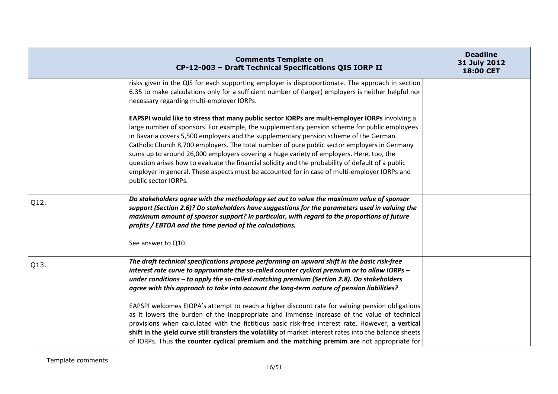|      | <b>Comments Template on</b><br>CP-12-003 - Draft Technical Specifications QIS IORP II                                                                                                                                                                                                                                                                                                                                                                                                                                                                                                                                                                                                                          | <b>Deadline</b><br>31 July 2012<br>18:00 CET |
|------|----------------------------------------------------------------------------------------------------------------------------------------------------------------------------------------------------------------------------------------------------------------------------------------------------------------------------------------------------------------------------------------------------------------------------------------------------------------------------------------------------------------------------------------------------------------------------------------------------------------------------------------------------------------------------------------------------------------|----------------------------------------------|
|      | risks given in the QIS for each supporting employer is disproportionate. The approach in section<br>6.35 to make calculations only for a sufficient number of (larger) employers is neither helpful nor<br>necessary regarding multi-employer IORPs.                                                                                                                                                                                                                                                                                                                                                                                                                                                           |                                              |
|      | EAPSPI would like to stress that many public sector IORPs are multi-employer IORPs involving a<br>large number of sponsors. For example, the supplementary pension scheme for public employees<br>in Bavaria covers 5,500 employers and the supplementary pension scheme of the German<br>Catholic Church 8,700 employers. The total number of pure public sector employers in Germany<br>sums up to around 26,000 employers covering a huge variety of employers. Here, too, the<br>question arises how to evaluate the financial solidity and the probability of default of a public<br>employer in general. These aspects must be accounted for in case of multi-employer IORPs and<br>public sector IORPs. |                                              |
| Q12. | Do stakeholders agree with the methodology set out to value the maximum value of sponsor<br>support (Section 2.6)? Do stakeholders have suggestions for the parameters used in valuing the<br>maximum amount of sponsor support? In particular, with regard to the proportions of future<br>profits / EBTDA and the time period of the calculations.<br>See answer to Q10.                                                                                                                                                                                                                                                                                                                                     |                                              |
| Q13. | The draft technical specifications propose performing an upward shift in the basic risk-free<br>interest rate curve to approximate the so-called counter cyclical premium or to allow IORPs -<br>under conditions - to apply the so-called matching premium (Section 2.8). Do stakeholders<br>agree with this approach to take into account the long-term nature of pension liabilities?                                                                                                                                                                                                                                                                                                                       |                                              |
|      | EAPSPI welcomes EIOPA's attempt to reach a higher discount rate for valuing pension obligations<br>as it lowers the burden of the inappropriate and immense increase of the value of technical<br>provisions when calculated with the fictitious basic risk-free interest rate. However, a vertical<br>shift in the yield curve still transfers the volatility of market interest rates into the balance sheets<br>of IORPs. Thus the counter cyclical premium and the matching premim are not appropriate for                                                                                                                                                                                                 |                                              |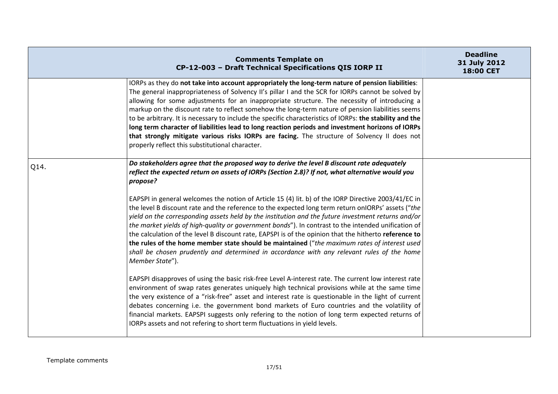|      | <b>Comments Template on</b><br>CP-12-003 - Draft Technical Specifications QIS IORP II                                                                                                                                                                                                                                                                                                                                                                                                                                                                                                                                                                                                                                                                                                                                                                                                                                                                          | <b>Deadline</b><br>31 July 2012<br>18:00 CET |
|------|----------------------------------------------------------------------------------------------------------------------------------------------------------------------------------------------------------------------------------------------------------------------------------------------------------------------------------------------------------------------------------------------------------------------------------------------------------------------------------------------------------------------------------------------------------------------------------------------------------------------------------------------------------------------------------------------------------------------------------------------------------------------------------------------------------------------------------------------------------------------------------------------------------------------------------------------------------------|----------------------------------------------|
|      | IORPs as they do not take into account appropriately the long-term nature of pension liabilities:<br>The general inappropriateness of Solvency II's pillar I and the SCR for IORPs cannot be solved by<br>allowing for some adjustments for an inappropriate structure. The necessity of introducing a<br>markup on the discount rate to reflect somehow the long-term nature of pension liabilities seems<br>to be arbitrary. It is necessary to include the specific characteristics of IORPs: the stability and the<br>long term character of liabilities lead to long reaction periods and investment horizons of IORPs<br>that strongly mitigate various risks IORPs are facing. The structure of Solvency II does not<br>properly reflect this substitutional character.                                                                                                                                                                                 |                                              |
| Q14. | Do stakeholders agree that the proposed way to derive the level B discount rate adequately<br>reflect the expected return on assets of IORPs (Section 2.8)? If not, what alternative would you<br>propose?<br>EAPSPI in general welcomes the notion of Article 15 (4) lit. b) of the IORP Directive 2003/41/EC in<br>the level B discount rate and the reference to the expected long term return on ORPs' assets ("the<br>yield on the corresponding assets held by the institution and the future investment returns and/or<br>the market yields of high-quality or government bonds"). In contrast to the intended unification of<br>the calculation of the level B discount rate, EAPSPI is of the opinion that the hitherto reference to<br>the rules of the home member state should be maintained ("the maximum rates of interest used<br>shall be chosen prudently and determined in accordance with any relevant rules of the home<br>Member State"). |                                              |
|      | EAPSPI disapproves of using the basic risk-free Level A-interest rate. The current low interest rate<br>environment of swap rates generates uniquely high technical provisions while at the same time<br>the very existence of a "risk-free" asset and interest rate is questionable in the light of current<br>debates concerning i.e. the government bond markets of Euro countries and the volatility of<br>financial markets. EAPSPI suggests only refering to the notion of long term expected returns of<br>IORPs assets and not refering to short term fluctuations in yield levels.                                                                                                                                                                                                                                                                                                                                                                    |                                              |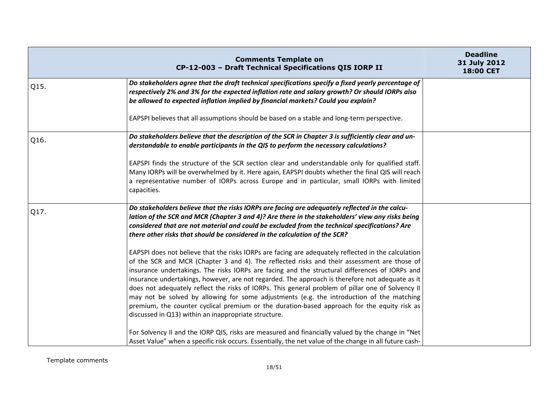|      | <b>Comments Template on</b><br>CP-12-003 - Draft Technical Specifications QIS IORP II                                                                                                                                                                                                                                                                                                                                                                                                                                                                                                                                                                                                                    | <b>Deadline</b><br>31 July 2012<br>18:00 CET |
|------|----------------------------------------------------------------------------------------------------------------------------------------------------------------------------------------------------------------------------------------------------------------------------------------------------------------------------------------------------------------------------------------------------------------------------------------------------------------------------------------------------------------------------------------------------------------------------------------------------------------------------------------------------------------------------------------------------------|----------------------------------------------|
| Q15. | Do stakeholders agree that the draft technical specifications specify a fixed yearly percentage of<br>respectively 2% and 3% for the expected inflation rate and salary growth? Or should IORPs also<br>be allowed to expected inflation implied by financial markets? Could you explain?                                                                                                                                                                                                                                                                                                                                                                                                                |                                              |
|      | EAPSPI believes that all assumptions should be based on a stable and long-term perspective.                                                                                                                                                                                                                                                                                                                                                                                                                                                                                                                                                                                                              |                                              |
| Q16. | Do stakeholders believe that the description of the SCR in Chapter 3 is sufficiently clear and un-<br>derstandable to enable participants in the QIS to perform the necessary calculations?                                                                                                                                                                                                                                                                                                                                                                                                                                                                                                              |                                              |
|      | EAPSPI finds the structure of the SCR section clear and understandable only for qualified staff.<br>Many IORPs will be overwhelmed by it. Here again, EAPSPI doubts whether the final QIS will reach<br>a representative number of IORPs across Europe and in particular, small IORPs with limited<br>capacities.                                                                                                                                                                                                                                                                                                                                                                                        |                                              |
| Q17. | Do stakeholders believe that the risks IORPs are facing are adequately reflected in the calcu-<br>lation of the SCR and MCR (Chapter 3 and 4)? Are there in the stakeholders' view any risks being<br>considered that are not material and could be excluded from the technical specifications? Are<br>there other risks that should be considered in the calculation of the SCR?                                                                                                                                                                                                                                                                                                                        |                                              |
|      | EAPSPI does not believe that the risks IORPs are facing are adequately reflected in the calculation<br>of the SCR and MCR (Chapter 3 and 4). The reflected risks and their assessment are those of<br>insurance undertakings. The risks IORPs are facing and the structural differences of IORPs and<br>insurance undertakings, however, are not regarded. The approach is therefore not adequate as it<br>does not adequately reflect the risks of IORPs. This general problem of pillar one of Solvency II<br>may not be solved by allowing for some adjustments (e.g. the introduction of the matching<br>premium, the counter cyclical premium or the duration-based approach for the equity risk as |                                              |
|      | discussed in Q13) within an inappropriate structure.<br>For Solvency II and the IORP QIS, risks are measured and financially valued by the change in "Net<br>Asset Value" when a specific risk occurs. Essentially, the net value of the change in all future cash-                                                                                                                                                                                                                                                                                                                                                                                                                                      |                                              |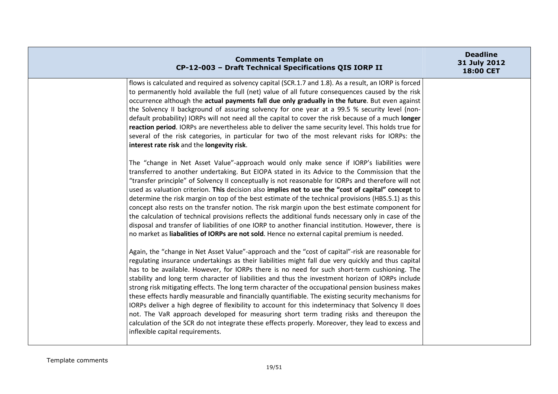| <b>Comments Template on</b><br>CP-12-003 - Draft Technical Specifications QIS IORP II                                                                                                                                                                                                                                                                                                                                                                                                                                                                                                                                                                                                                                                                                                                                                                                                                                                                                | <b>Deadline</b><br>31 July 2012<br>18:00 CET |
|----------------------------------------------------------------------------------------------------------------------------------------------------------------------------------------------------------------------------------------------------------------------------------------------------------------------------------------------------------------------------------------------------------------------------------------------------------------------------------------------------------------------------------------------------------------------------------------------------------------------------------------------------------------------------------------------------------------------------------------------------------------------------------------------------------------------------------------------------------------------------------------------------------------------------------------------------------------------|----------------------------------------------|
| flows is calculated and required as solvency capital (SCR.1.7 and 1.8). As a result, an IORP is forced<br>to permanently hold available the full (net) value of all future consequences caused by the risk<br>occurrence although the actual payments fall due only gradually in the future. But even against<br>the Solvency II background of assuring solvency for one year at a 99.5 % security level (non-<br>default probability) IORPs will not need all the capital to cover the risk because of a much longer<br>reaction period. IORPs are nevertheless able to deliver the same security level. This holds true for<br>several of the risk categories, in particular for two of the most relevant risks for IORPs: the<br>interest rate risk and the longevity risk.                                                                                                                                                                                       |                                              |
| The "change in Net Asset Value"-approach would only make sence if IORP's liabilities were<br>transferred to another undertaking. But EIOPA stated in its Advice to the Commission that the<br>"transfer principle" of Solvency II conceptually is not reasonable for IORPs and therefore will not<br>used as valuation criterion. This decision also implies not to use the "cost of capital" concept to<br>determine the risk margin on top of the best estimate of the technical provisions (HBS.5.1) as this<br>concept also rests on the transfer notion. The risk margin upon the best estimate component for<br>the calculation of technical provisions reflects the additional funds necessary only in case of the<br>disposal and transfer of liabilities of one IORP to another financial institution. However, there is<br>no market as liabalities of IORPs are not sold. Hence no external capital premium is needed.                                    |                                              |
| Again, the "change in Net Asset Value"-approach and the "cost of capital"-risk are reasonable for<br>regulating insurance undertakings as their liabilities might fall due very quickly and thus capital<br>has to be available. However, for IORPs there is no need for such short-term cushioning. The<br>stability and long term character of liabilities and thus the investment horizon of IORPs include<br>strong risk mitigating effects. The long term character of the occupational pension business makes<br>these effects hardly measurable and financially quantifiable. The existing security mechanisms for<br>IORPs deliver a high degree of flexibility to account for this indeterminacy that Solvency II does<br>not. The VaR approach developed for measuring short term trading risks and thereupon the<br>calculation of the SCR do not integrate these effects properly. Moreover, they lead to excess and<br>inflexible capital requirements. |                                              |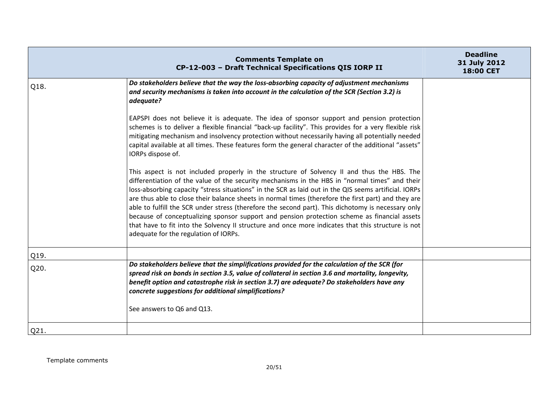|      | <b>Comments Template on</b><br>CP-12-003 - Draft Technical Specifications QIS IORP II                                                                                                                                                                                                                                                                                                                                                                                                                                                                                                                                                                                                                                                                             | <b>Deadline</b><br>31 July 2012<br>18:00 CET |
|------|-------------------------------------------------------------------------------------------------------------------------------------------------------------------------------------------------------------------------------------------------------------------------------------------------------------------------------------------------------------------------------------------------------------------------------------------------------------------------------------------------------------------------------------------------------------------------------------------------------------------------------------------------------------------------------------------------------------------------------------------------------------------|----------------------------------------------|
| Q18. | Do stakeholders believe that the way the loss-absorbing capacity of adjustment mechanisms<br>and security mechanisms is taken into account in the calculation of the SCR (Section 3.2) is<br>adequate?                                                                                                                                                                                                                                                                                                                                                                                                                                                                                                                                                            |                                              |
|      | EAPSPI does not believe it is adequate. The idea of sponsor support and pension protection<br>schemes is to deliver a flexible financial "back-up facility". This provides for a very flexible risk<br>mitigating mechanism and insolvency protection without necessarily having all potentially needed<br>capital available at all times. These features form the general character of the additional "assets"<br>IORPs dispose of.                                                                                                                                                                                                                                                                                                                              |                                              |
|      | This aspect is not included properly in the structure of Solvency II and thus the HBS. The<br>differentiation of the value of the security mechanisms in the HBS in "normal times" and their<br>loss-absorbing capacity "stress situations" in the SCR as laid out in the QIS seems artificial. IORPs<br>are thus able to close their balance sheets in normal times (therefore the first part) and they are<br>able to fulfill the SCR under stress (therefore the second part). This dichotomy is necessary only<br>because of conceptualizing sponsor support and pension protection scheme as financial assets<br>that have to fit into the Solvency II structure and once more indicates that this structure is not<br>adequate for the regulation of IORPs. |                                              |
| Q19. |                                                                                                                                                                                                                                                                                                                                                                                                                                                                                                                                                                                                                                                                                                                                                                   |                                              |
| Q20. | Do stakeholders believe that the simplifications provided for the calculation of the SCR (for<br>spread risk on bonds in section 3.5, value of collateral in section 3.6 and mortality, longevity,<br>benefit option and catastrophe risk in section 3.7) are adequate? Do stakeholders have any<br>concrete suggestions for additional simplifications?<br>See answers to Q6 and Q13.                                                                                                                                                                                                                                                                                                                                                                            |                                              |
| Q21. |                                                                                                                                                                                                                                                                                                                                                                                                                                                                                                                                                                                                                                                                                                                                                                   |                                              |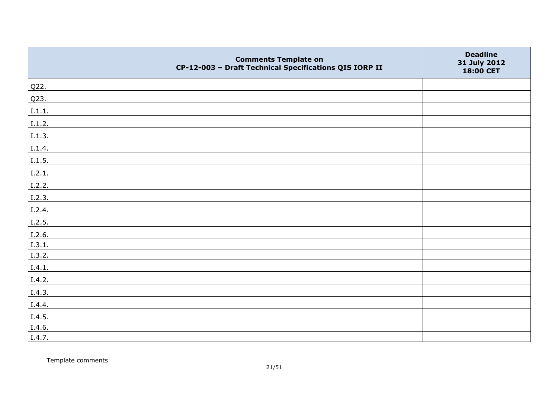|        | <b>Comments Template on</b><br>CP-12-003 - Draft Technical Specifications QIS IORP II | <b>Deadline</b><br>31 July 2012<br>18:00 CET |
|--------|---------------------------------------------------------------------------------------|----------------------------------------------|
| Q22.   |                                                                                       |                                              |
| Q23.   |                                                                                       |                                              |
| I.1.1. |                                                                                       |                                              |
| I.1.2. |                                                                                       |                                              |
| I.1.3. |                                                                                       |                                              |
| I.1.4. |                                                                                       |                                              |
| I.1.5. |                                                                                       |                                              |
| I.2.1. |                                                                                       |                                              |
| I.2.2. |                                                                                       |                                              |
| I.2.3. |                                                                                       |                                              |
| I.2.4. |                                                                                       |                                              |
| 1.2.5. |                                                                                       |                                              |
| I.2.6. |                                                                                       |                                              |
| 1.3.1. |                                                                                       |                                              |
| I.3.2. |                                                                                       |                                              |
| I.4.1. |                                                                                       |                                              |
| I.4.2. |                                                                                       |                                              |
| I.4.3. |                                                                                       |                                              |
| I.4.4. |                                                                                       |                                              |
| I.4.5. |                                                                                       |                                              |
| I.4.6. |                                                                                       |                                              |
| I.4.7. |                                                                                       |                                              |

Template comments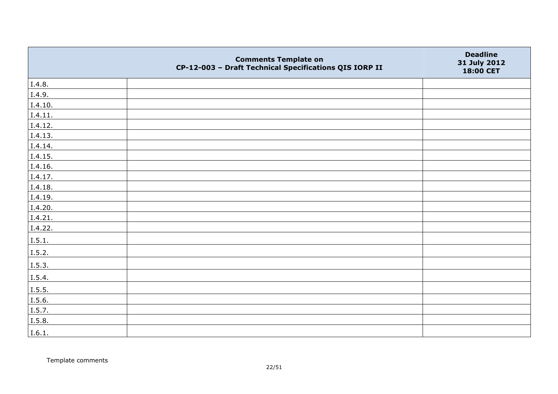|         | <b>Comments Template on</b><br>CP-12-003 - Draft Technical Specifications QIS IORP II | <b>Deadline</b><br>31 July 2012<br>18:00 CET |
|---------|---------------------------------------------------------------------------------------|----------------------------------------------|
| I.4.8.  |                                                                                       |                                              |
| I.4.9.  |                                                                                       |                                              |
| I.4.10. |                                                                                       |                                              |
| I.4.11. |                                                                                       |                                              |
| I.4.12. |                                                                                       |                                              |
| I.4.13. |                                                                                       |                                              |
| I.4.14. |                                                                                       |                                              |
| I.4.15. |                                                                                       |                                              |
| I.4.16. |                                                                                       |                                              |
| I.4.17. |                                                                                       |                                              |
| I.4.18. |                                                                                       |                                              |
| I.4.19. |                                                                                       |                                              |
| I.4.20. |                                                                                       |                                              |
| I.4.21. |                                                                                       |                                              |
| I.4.22. |                                                                                       |                                              |
| I.5.1.  |                                                                                       |                                              |
| I.5.2.  |                                                                                       |                                              |
| I.5.3.  |                                                                                       |                                              |
| I.5.4.  |                                                                                       |                                              |
| I.5.5.  |                                                                                       |                                              |
| I.5.6.  |                                                                                       |                                              |
| I.5.7.  |                                                                                       |                                              |
| I.5.8.  |                                                                                       |                                              |
| I.6.1.  |                                                                                       |                                              |

Template comments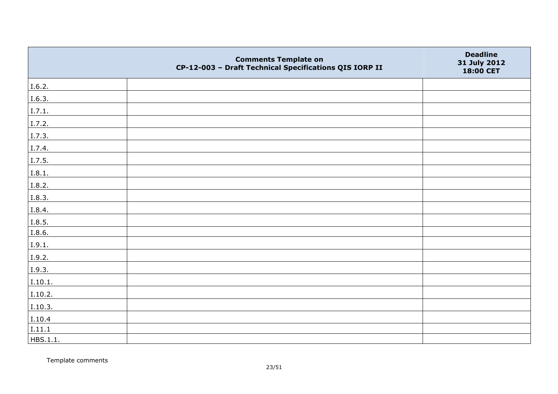|          | <b>Comments Template on</b><br>CP-12-003 - Draft Technical Specifications QIS IORP II | <b>Deadline</b><br>31 July 2012<br>18:00 CET |
|----------|---------------------------------------------------------------------------------------|----------------------------------------------|
| I.6.2.   |                                                                                       |                                              |
| I.6.3.   |                                                                                       |                                              |
| I.7.1.   |                                                                                       |                                              |
| I.7.2.   |                                                                                       |                                              |
| I.7.3.   |                                                                                       |                                              |
| I.7.4.   |                                                                                       |                                              |
| I.7.5.   |                                                                                       |                                              |
| I.8.1.   |                                                                                       |                                              |
| I.8.2.   |                                                                                       |                                              |
| I.8.3.   |                                                                                       |                                              |
| I.8.4.   |                                                                                       |                                              |
| I.8.5.   |                                                                                       |                                              |
| I.8.6.   |                                                                                       |                                              |
| I.9.1.   |                                                                                       |                                              |
| I.9.2.   |                                                                                       |                                              |
| I.9.3.   |                                                                                       |                                              |
| I.10.1.  |                                                                                       |                                              |
| I.10.2.  |                                                                                       |                                              |
| I.10.3.  |                                                                                       |                                              |
| I.10.4   |                                                                                       |                                              |
| I.11.1   |                                                                                       |                                              |
| HBS.1.1. |                                                                                       |                                              |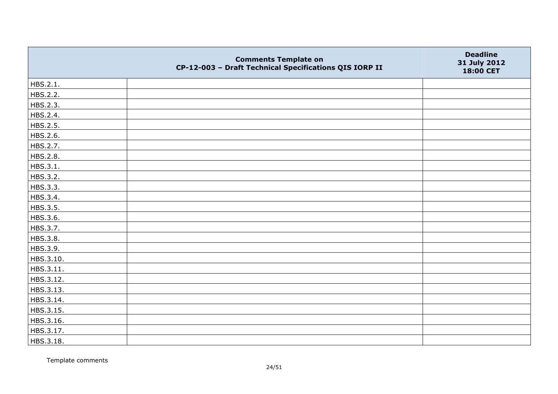|           | <b>Comments Template on</b><br>CP-12-003 - Draft Technical Specifications QIS IORP II | <b>Deadline</b><br>31 July 2012<br>18:00 CET |
|-----------|---------------------------------------------------------------------------------------|----------------------------------------------|
| HBS.2.1.  |                                                                                       |                                              |
| HBS.2.2.  |                                                                                       |                                              |
| HBS.2.3.  |                                                                                       |                                              |
| HBS.2.4.  |                                                                                       |                                              |
| HBS.2.5.  |                                                                                       |                                              |
| HBS.2.6.  |                                                                                       |                                              |
| HBS.2.7.  |                                                                                       |                                              |
| HBS.2.8.  |                                                                                       |                                              |
| HBS.3.1.  |                                                                                       |                                              |
| HBS.3.2.  |                                                                                       |                                              |
| HBS.3.3.  |                                                                                       |                                              |
| HBS.3.4.  |                                                                                       |                                              |
| HBS.3.5.  |                                                                                       |                                              |
| HBS.3.6.  |                                                                                       |                                              |
| HBS.3.7.  |                                                                                       |                                              |
| HBS.3.8.  |                                                                                       |                                              |
| HBS.3.9.  |                                                                                       |                                              |
| HBS.3.10. |                                                                                       |                                              |
| HBS.3.11. |                                                                                       |                                              |
| HBS.3.12. |                                                                                       |                                              |
| HBS.3.13. |                                                                                       |                                              |
| HBS.3.14. |                                                                                       |                                              |
| HBS.3.15. |                                                                                       |                                              |
| HBS.3.16. |                                                                                       |                                              |
| HBS.3.17. |                                                                                       |                                              |
| HBS.3.18. |                                                                                       |                                              |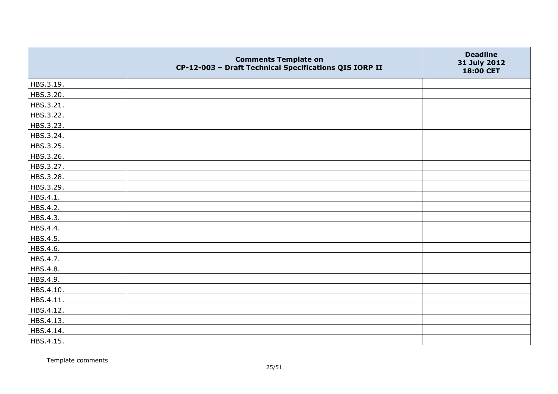|           | <b>Comments Template on</b><br>CP-12-003 - Draft Technical Specifications QIS IORP II | <b>Deadline</b><br>31 July 2012<br>18:00 CET |
|-----------|---------------------------------------------------------------------------------------|----------------------------------------------|
| HBS.3.19. |                                                                                       |                                              |
| HBS.3.20. |                                                                                       |                                              |
| HBS.3.21. |                                                                                       |                                              |
| HBS.3.22. |                                                                                       |                                              |
| HBS.3.23. |                                                                                       |                                              |
| HBS.3.24. |                                                                                       |                                              |
| HBS.3.25. |                                                                                       |                                              |
| HBS.3.26. |                                                                                       |                                              |
| HBS.3.27. |                                                                                       |                                              |
| HBS.3.28. |                                                                                       |                                              |
| HBS.3.29. |                                                                                       |                                              |
| HBS.4.1.  |                                                                                       |                                              |
| HBS.4.2.  |                                                                                       |                                              |
| HBS.4.3.  |                                                                                       |                                              |
| HBS.4.4.  |                                                                                       |                                              |
| HBS.4.5.  |                                                                                       |                                              |
| HBS.4.6.  |                                                                                       |                                              |
| HBS.4.7.  |                                                                                       |                                              |
| HBS.4.8.  |                                                                                       |                                              |
| HBS.4.9.  |                                                                                       |                                              |
| HBS.4.10. |                                                                                       |                                              |
| HBS.4.11. |                                                                                       |                                              |
| HBS.4.12. |                                                                                       |                                              |
| HBS.4.13. |                                                                                       |                                              |
| HBS.4.14. |                                                                                       |                                              |
| HBS.4.15. |                                                                                       |                                              |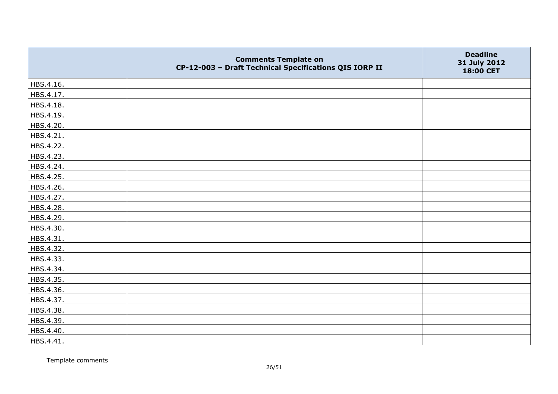|           | <b>Comments Template on</b><br>CP-12-003 - Draft Technical Specifications QIS IORP II | <b>Deadline</b><br>31 July 2012<br>18:00 CET |
|-----------|---------------------------------------------------------------------------------------|----------------------------------------------|
| HBS.4.16. |                                                                                       |                                              |
| HBS.4.17. |                                                                                       |                                              |
| HBS.4.18. |                                                                                       |                                              |
| HBS.4.19. |                                                                                       |                                              |
| HBS.4.20. |                                                                                       |                                              |
| HBS.4.21. |                                                                                       |                                              |
| HBS.4.22. |                                                                                       |                                              |
| HBS.4.23. |                                                                                       |                                              |
| HBS.4.24. |                                                                                       |                                              |
| HBS.4.25. |                                                                                       |                                              |
| HBS.4.26. |                                                                                       |                                              |
| HBS.4.27. |                                                                                       |                                              |
| HBS.4.28. |                                                                                       |                                              |
| HBS.4.29. |                                                                                       |                                              |
| HBS.4.30. |                                                                                       |                                              |
| HBS.4.31. |                                                                                       |                                              |
| HBS.4.32. |                                                                                       |                                              |
| HBS.4.33. |                                                                                       |                                              |
| HBS.4.34. |                                                                                       |                                              |
| HBS.4.35. |                                                                                       |                                              |
| HBS.4.36. |                                                                                       |                                              |
| HBS.4.37. |                                                                                       |                                              |
| HBS.4.38. |                                                                                       |                                              |
| HBS.4.39. |                                                                                       |                                              |
| HBS.4.40. |                                                                                       |                                              |
| HBS.4.41. |                                                                                       |                                              |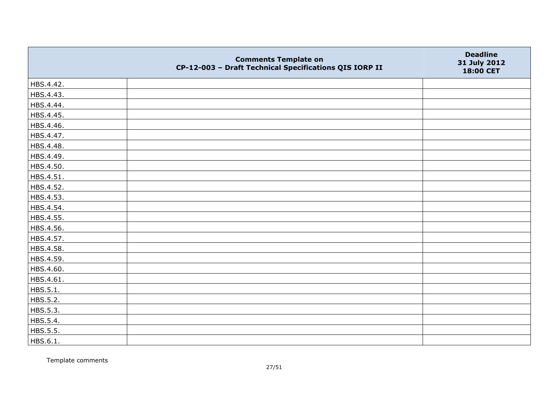|           | <b>Comments Template on</b><br>CP-12-003 - Draft Technical Specifications QIS IORP II | <b>Deadline</b><br>31 July 2012<br>18:00 CET |
|-----------|---------------------------------------------------------------------------------------|----------------------------------------------|
| HBS.4.42. |                                                                                       |                                              |
| HBS.4.43. |                                                                                       |                                              |
| HBS.4.44. |                                                                                       |                                              |
| HBS.4.45. |                                                                                       |                                              |
| HBS.4.46. |                                                                                       |                                              |
| HBS.4.47. |                                                                                       |                                              |
| HBS.4.48. |                                                                                       |                                              |
| HBS.4.49. |                                                                                       |                                              |
| HBS.4.50. |                                                                                       |                                              |
| HBS.4.51. |                                                                                       |                                              |
| HBS.4.52. |                                                                                       |                                              |
| HBS.4.53. |                                                                                       |                                              |
| HBS.4.54. |                                                                                       |                                              |
| HBS.4.55. |                                                                                       |                                              |
| HBS.4.56. |                                                                                       |                                              |
| HBS.4.57. |                                                                                       |                                              |
| HBS.4.58. |                                                                                       |                                              |
| HBS.4.59. |                                                                                       |                                              |
| HBS.4.60. |                                                                                       |                                              |
| HBS.4.61. |                                                                                       |                                              |
| HBS.5.1.  |                                                                                       |                                              |
| HBS.5.2.  |                                                                                       |                                              |
| HBS.5.3.  |                                                                                       |                                              |
| HBS.5.4.  |                                                                                       |                                              |
| HBS.5.5.  |                                                                                       |                                              |
| HBS.6.1.  |                                                                                       |                                              |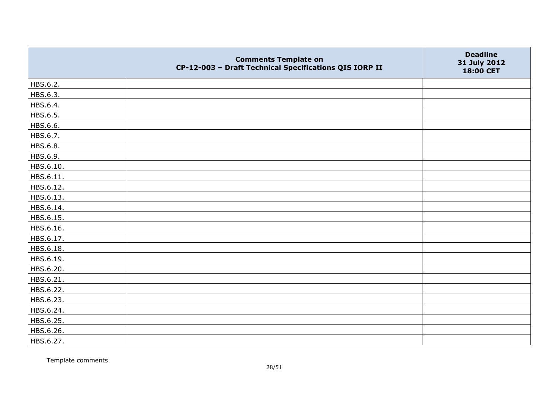|           | <b>Comments Template on</b><br>CP-12-003 - Draft Technical Specifications QIS IORP II | <b>Deadline</b><br>31 July 2012<br>18:00 CET |
|-----------|---------------------------------------------------------------------------------------|----------------------------------------------|
| HBS.6.2.  |                                                                                       |                                              |
| HBS.6.3.  |                                                                                       |                                              |
| HBS.6.4.  |                                                                                       |                                              |
| HBS.6.5.  |                                                                                       |                                              |
| HBS.6.6.  |                                                                                       |                                              |
| HBS.6.7.  |                                                                                       |                                              |
| HBS.6.8.  |                                                                                       |                                              |
| HBS.6.9.  |                                                                                       |                                              |
| HBS.6.10. |                                                                                       |                                              |
| HBS.6.11. |                                                                                       |                                              |
| HBS.6.12. |                                                                                       |                                              |
| HBS.6.13. |                                                                                       |                                              |
| HBS.6.14. |                                                                                       |                                              |
| HBS.6.15. |                                                                                       |                                              |
| HBS.6.16. |                                                                                       |                                              |
| HBS.6.17. |                                                                                       |                                              |
| HBS.6.18. |                                                                                       |                                              |
| HBS.6.19. |                                                                                       |                                              |
| HBS.6.20. |                                                                                       |                                              |
| HBS.6.21. |                                                                                       |                                              |
| HBS.6.22. |                                                                                       |                                              |
| HBS.6.23. |                                                                                       |                                              |
| HBS.6.24. |                                                                                       |                                              |
| HBS.6.25. |                                                                                       |                                              |
| HBS.6.26. |                                                                                       |                                              |
| HBS.6.27. |                                                                                       |                                              |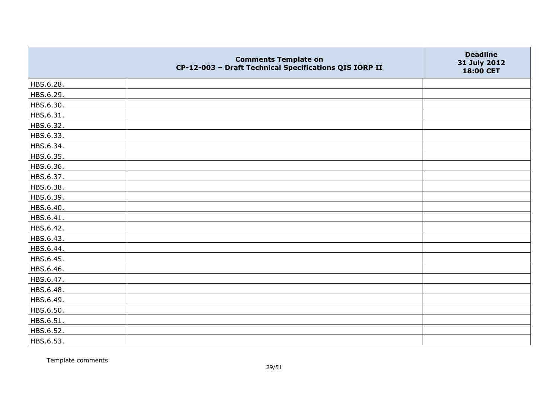|           | <b>Comments Template on</b><br>CP-12-003 - Draft Technical Specifications QIS IORP II | <b>Deadline</b><br>31 July 2012<br>18:00 CET |
|-----------|---------------------------------------------------------------------------------------|----------------------------------------------|
| HBS.6.28. |                                                                                       |                                              |
| HBS.6.29. |                                                                                       |                                              |
| HBS.6.30. |                                                                                       |                                              |
| HBS.6.31. |                                                                                       |                                              |
| HBS.6.32. |                                                                                       |                                              |
| HBS.6.33. |                                                                                       |                                              |
| HBS.6.34. |                                                                                       |                                              |
| HBS.6.35. |                                                                                       |                                              |
| HBS.6.36. |                                                                                       |                                              |
| HBS.6.37. |                                                                                       |                                              |
| HBS.6.38. |                                                                                       |                                              |
| HBS.6.39. |                                                                                       |                                              |
| HBS.6.40. |                                                                                       |                                              |
| HBS.6.41. |                                                                                       |                                              |
| HBS.6.42. |                                                                                       |                                              |
| HBS.6.43. |                                                                                       |                                              |
| HBS.6.44. |                                                                                       |                                              |
| HBS.6.45. |                                                                                       |                                              |
| HBS.6.46. |                                                                                       |                                              |
| HBS.6.47. |                                                                                       |                                              |
| HBS.6.48. |                                                                                       |                                              |
| HBS.6.49. |                                                                                       |                                              |
| HBS.6.50. |                                                                                       |                                              |
| HBS.6.51. |                                                                                       |                                              |
| HBS.6.52. |                                                                                       |                                              |
| HBS.6.53. |                                                                                       |                                              |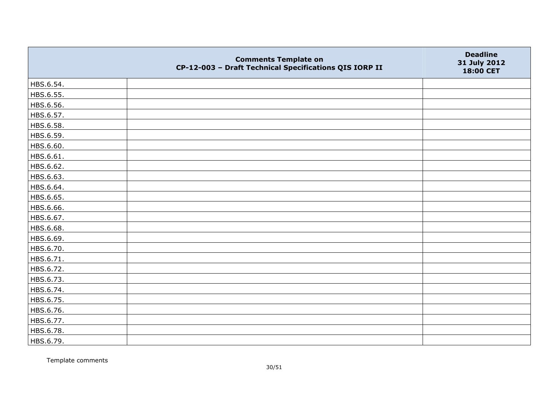|           | <b>Comments Template on</b><br>CP-12-003 - Draft Technical Specifications QIS IORP II | <b>Deadline</b><br>31 July 2012<br>18:00 CET |
|-----------|---------------------------------------------------------------------------------------|----------------------------------------------|
| HBS.6.54. |                                                                                       |                                              |
| HBS.6.55. |                                                                                       |                                              |
| HBS.6.56. |                                                                                       |                                              |
| HBS.6.57. |                                                                                       |                                              |
| HBS.6.58. |                                                                                       |                                              |
| HBS.6.59. |                                                                                       |                                              |
| HBS.6.60. |                                                                                       |                                              |
| HBS.6.61. |                                                                                       |                                              |
| HBS.6.62. |                                                                                       |                                              |
| HBS.6.63. |                                                                                       |                                              |
| HBS.6.64. |                                                                                       |                                              |
| HBS.6.65. |                                                                                       |                                              |
| HBS.6.66. |                                                                                       |                                              |
| HBS.6.67. |                                                                                       |                                              |
| HBS.6.68. |                                                                                       |                                              |
| HBS.6.69. |                                                                                       |                                              |
| HBS.6.70. |                                                                                       |                                              |
| HBS.6.71. |                                                                                       |                                              |
| HBS.6.72. |                                                                                       |                                              |
| HBS.6.73. |                                                                                       |                                              |
| HBS.6.74. |                                                                                       |                                              |
| HBS.6.75. |                                                                                       |                                              |
| HBS.6.76. |                                                                                       |                                              |
| HBS.6.77. |                                                                                       |                                              |
| HBS.6.78. |                                                                                       |                                              |
| HBS.6.79. |                                                                                       |                                              |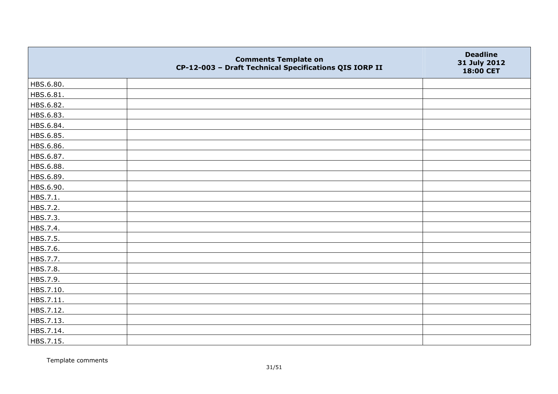|           | <b>Comments Template on</b><br>CP-12-003 - Draft Technical Specifications QIS IORP II | <b>Deadline</b><br>31 July 2012<br>18:00 CET |
|-----------|---------------------------------------------------------------------------------------|----------------------------------------------|
| HBS.6.80. |                                                                                       |                                              |
| HBS.6.81. |                                                                                       |                                              |
| HBS.6.82. |                                                                                       |                                              |
| HBS.6.83. |                                                                                       |                                              |
| HBS.6.84. |                                                                                       |                                              |
| HBS.6.85. |                                                                                       |                                              |
| HBS.6.86. |                                                                                       |                                              |
| HBS.6.87. |                                                                                       |                                              |
| HBS.6.88. |                                                                                       |                                              |
| HBS.6.89. |                                                                                       |                                              |
| HBS.6.90. |                                                                                       |                                              |
| HBS.7.1.  |                                                                                       |                                              |
| HBS.7.2.  |                                                                                       |                                              |
| HBS.7.3.  |                                                                                       |                                              |
| HBS.7.4.  |                                                                                       |                                              |
| HBS.7.5.  |                                                                                       |                                              |
| HBS.7.6.  |                                                                                       |                                              |
| HBS.7.7.  |                                                                                       |                                              |
| HBS.7.8.  |                                                                                       |                                              |
| HBS.7.9.  |                                                                                       |                                              |
| HBS.7.10. |                                                                                       |                                              |
| HBS.7.11. |                                                                                       |                                              |
| HBS.7.12. |                                                                                       |                                              |
| HBS.7.13. |                                                                                       |                                              |
| HBS.7.14. |                                                                                       |                                              |
| HBS.7.15. |                                                                                       |                                              |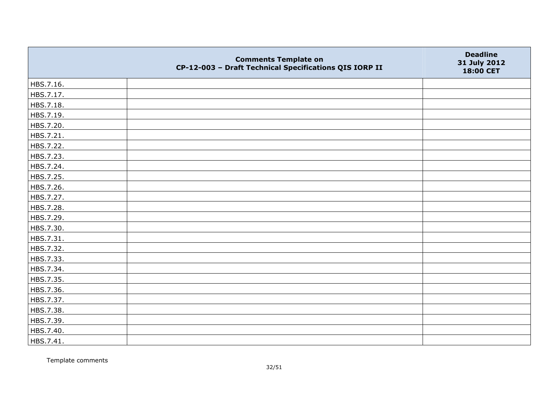|           | <b>Comments Template on</b><br>CP-12-003 - Draft Technical Specifications QIS IORP II | <b>Deadline</b><br>31 July 2012<br>18:00 CET |
|-----------|---------------------------------------------------------------------------------------|----------------------------------------------|
| HBS.7.16. |                                                                                       |                                              |
| HBS.7.17. |                                                                                       |                                              |
| HBS.7.18. |                                                                                       |                                              |
| HBS.7.19. |                                                                                       |                                              |
| HBS.7.20. |                                                                                       |                                              |
| HBS.7.21. |                                                                                       |                                              |
| HBS.7.22. |                                                                                       |                                              |
| HBS.7.23. |                                                                                       |                                              |
| HBS.7.24. |                                                                                       |                                              |
| HBS.7.25. |                                                                                       |                                              |
| HBS.7.26. |                                                                                       |                                              |
| HBS.7.27. |                                                                                       |                                              |
| HBS.7.28. |                                                                                       |                                              |
| HBS.7.29. |                                                                                       |                                              |
| HBS.7.30. |                                                                                       |                                              |
| HBS.7.31. |                                                                                       |                                              |
| HBS.7.32. |                                                                                       |                                              |
| HBS.7.33. |                                                                                       |                                              |
| HBS.7.34. |                                                                                       |                                              |
| HBS.7.35. |                                                                                       |                                              |
| HBS.7.36. |                                                                                       |                                              |
| HBS.7.37. |                                                                                       |                                              |
| HBS.7.38. |                                                                                       |                                              |
| HBS.7.39. |                                                                                       |                                              |
| HBS.7.40. |                                                                                       |                                              |
| HBS.7.41. |                                                                                       |                                              |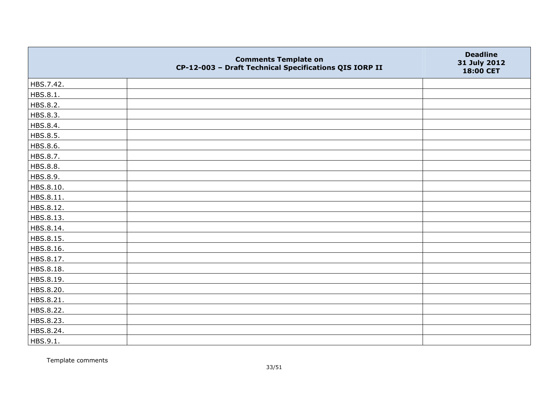|           | <b>Comments Template on</b><br>CP-12-003 - Draft Technical Specifications QIS IORP II | <b>Deadline</b><br>31 July 2012<br>18:00 CET |
|-----------|---------------------------------------------------------------------------------------|----------------------------------------------|
| HBS.7.42. |                                                                                       |                                              |
| HBS.8.1.  |                                                                                       |                                              |
| HBS.8.2.  |                                                                                       |                                              |
| HBS.8.3.  |                                                                                       |                                              |
| HBS.8.4.  |                                                                                       |                                              |
| HBS.8.5.  |                                                                                       |                                              |
| HBS.8.6.  |                                                                                       |                                              |
| HBS.8.7.  |                                                                                       |                                              |
| HBS.8.8.  |                                                                                       |                                              |
| HBS.8.9.  |                                                                                       |                                              |
| HBS.8.10. |                                                                                       |                                              |
| HBS.8.11. |                                                                                       |                                              |
| HBS.8.12. |                                                                                       |                                              |
| HBS.8.13. |                                                                                       |                                              |
| HBS.8.14. |                                                                                       |                                              |
| HBS.8.15. |                                                                                       |                                              |
| HBS.8.16. |                                                                                       |                                              |
| HBS.8.17. |                                                                                       |                                              |
| HBS.8.18. |                                                                                       |                                              |
| HBS.8.19. |                                                                                       |                                              |
| HBS.8.20. |                                                                                       |                                              |
| HBS.8.21. |                                                                                       |                                              |
| HBS.8.22. |                                                                                       |                                              |
| HBS.8.23. |                                                                                       |                                              |
| HBS.8.24. |                                                                                       |                                              |
| HBS.9.1.  |                                                                                       |                                              |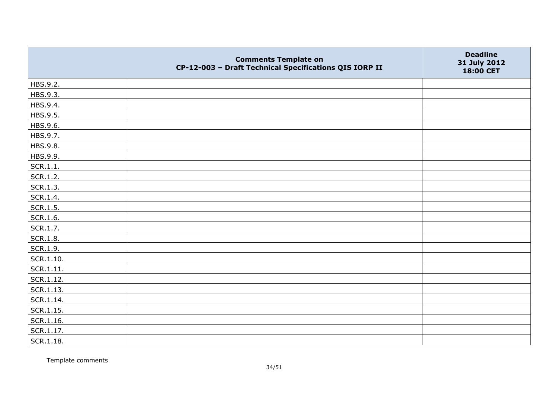|                   | <b>Comments Template on</b><br>CP-12-003 - Draft Technical Specifications QIS IORP II | <b>Deadline</b><br>31 July 2012<br>18:00 CET |
|-------------------|---------------------------------------------------------------------------------------|----------------------------------------------|
| HBS.9.2.          |                                                                                       |                                              |
| HBS.9.3.          |                                                                                       |                                              |
| HBS.9.4.          |                                                                                       |                                              |
| HBS.9.5.          |                                                                                       |                                              |
| HBS.9.6.          |                                                                                       |                                              |
| HBS.9.7.          |                                                                                       |                                              |
| HBS.9.8.          |                                                                                       |                                              |
| HBS.9.9.          |                                                                                       |                                              |
| SCR.1.1.          |                                                                                       |                                              |
| SCR.1.2.          |                                                                                       |                                              |
| SCR.1.3.          |                                                                                       |                                              |
| SCR.1.4.          |                                                                                       |                                              |
| SCR.1.5.          |                                                                                       |                                              |
| SCR.1.6.          |                                                                                       |                                              |
| SCR.1.7.          |                                                                                       |                                              |
| SCR.1.8.          |                                                                                       |                                              |
| SCR.1.9.          |                                                                                       |                                              |
| $\vert$ SCR.1.10. |                                                                                       |                                              |
| SCR.1.11.         |                                                                                       |                                              |
| SCR.1.12.         |                                                                                       |                                              |
| SCR.1.13.         |                                                                                       |                                              |
| SCR.1.14.         |                                                                                       |                                              |
| SCR.1.15.         |                                                                                       |                                              |
| SCR.1.16.         |                                                                                       |                                              |
| SCR.1.17.         |                                                                                       |                                              |
| SCR.1.18.         |                                                                                       |                                              |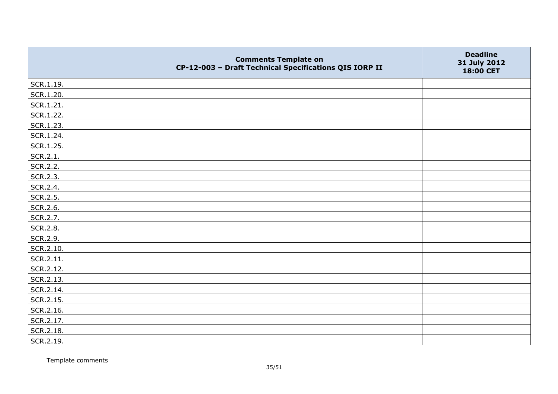|           | <b>Comments Template on</b><br>CP-12-003 - Draft Technical Specifications QIS IORP II | <b>Deadline</b><br>31 July 2012<br>18:00 CET |
|-----------|---------------------------------------------------------------------------------------|----------------------------------------------|
| SCR.1.19. |                                                                                       |                                              |
| SCR.1.20. |                                                                                       |                                              |
| SCR.1.21. |                                                                                       |                                              |
| SCR.1.22. |                                                                                       |                                              |
| SCR.1.23. |                                                                                       |                                              |
| SCR.1.24. |                                                                                       |                                              |
| SCR.1.25. |                                                                                       |                                              |
| SCR.2.1.  |                                                                                       |                                              |
| SCR.2.2.  |                                                                                       |                                              |
| SCR.2.3.  |                                                                                       |                                              |
| SCR.2.4.  |                                                                                       |                                              |
| SCR.2.5.  |                                                                                       |                                              |
| SCR.2.6.  |                                                                                       |                                              |
| SCR.2.7.  |                                                                                       |                                              |
| SCR.2.8.  |                                                                                       |                                              |
| SCR.2.9.  |                                                                                       |                                              |
| SCR.2.10. |                                                                                       |                                              |
| SCR.2.11. |                                                                                       |                                              |
| SCR.2.12. |                                                                                       |                                              |
| SCR.2.13. |                                                                                       |                                              |
| SCR.2.14. |                                                                                       |                                              |
| SCR.2.15. |                                                                                       |                                              |
| SCR.2.16. |                                                                                       |                                              |
| SCR.2.17. |                                                                                       |                                              |
| SCR.2.18. |                                                                                       |                                              |
| SCR.2.19. |                                                                                       |                                              |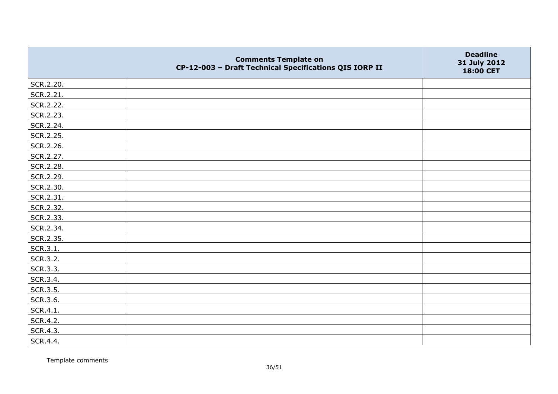|           | <b>Comments Template on</b><br>CP-12-003 - Draft Technical Specifications QIS IORP II | <b>Deadline</b><br>31 July 2012<br>18:00 CET |
|-----------|---------------------------------------------------------------------------------------|----------------------------------------------|
| SCR.2.20. |                                                                                       |                                              |
| SCR.2.21. |                                                                                       |                                              |
| SCR.2.22. |                                                                                       |                                              |
| SCR.2.23. |                                                                                       |                                              |
| SCR.2.24. |                                                                                       |                                              |
| SCR.2.25. |                                                                                       |                                              |
| SCR.2.26. |                                                                                       |                                              |
| SCR.2.27. |                                                                                       |                                              |
| SCR.2.28. |                                                                                       |                                              |
| SCR.2.29. |                                                                                       |                                              |
| SCR.2.30. |                                                                                       |                                              |
| SCR.2.31. |                                                                                       |                                              |
| SCR.2.32. |                                                                                       |                                              |
| SCR.2.33. |                                                                                       |                                              |
| SCR.2.34. |                                                                                       |                                              |
| SCR.2.35. |                                                                                       |                                              |
| SCR.3.1.  |                                                                                       |                                              |
| SCR.3.2.  |                                                                                       |                                              |
| SCR.3.3.  |                                                                                       |                                              |
| SCR.3.4.  |                                                                                       |                                              |
| SCR.3.5.  |                                                                                       |                                              |
| SCR.3.6.  |                                                                                       |                                              |
| SCR.4.1.  |                                                                                       |                                              |
| SCR.4.2.  |                                                                                       |                                              |
| SCR.4.3.  |                                                                                       |                                              |
| SCR.4.4.  |                                                                                       |                                              |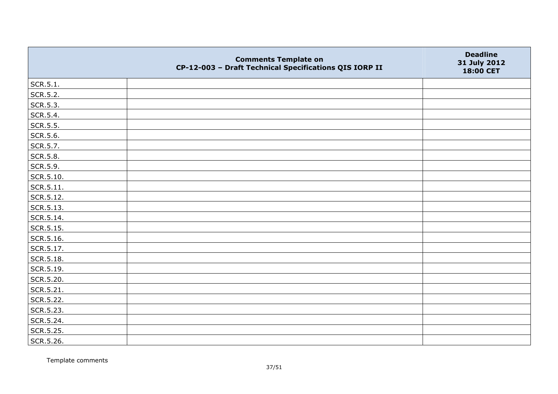|                   | <b>Comments Template on</b><br>CP-12-003 - Draft Technical Specifications QIS IORP II | <b>Deadline</b><br>31 July 2012<br>18:00 CET |
|-------------------|---------------------------------------------------------------------------------------|----------------------------------------------|
| SCR.5.1.          |                                                                                       |                                              |
| SCR.5.2.          |                                                                                       |                                              |
| SCR.5.3.          |                                                                                       |                                              |
| SCR.5.4.          |                                                                                       |                                              |
| SCR.5.5.          |                                                                                       |                                              |
| SCR.5.6.          |                                                                                       |                                              |
| SCR.5.7.          |                                                                                       |                                              |
| SCR.5.8.          |                                                                                       |                                              |
| SCR.5.9.          |                                                                                       |                                              |
| $\vert$ SCR.5.10. |                                                                                       |                                              |
| $ $ SCR.5.11.     |                                                                                       |                                              |
| SCR.5.12.         |                                                                                       |                                              |
| SCR.5.13.         |                                                                                       |                                              |
| SCR.5.14.         |                                                                                       |                                              |
| SCR.5.15.         |                                                                                       |                                              |
| SCR.5.16.         |                                                                                       |                                              |
| SCR.5.17.         |                                                                                       |                                              |
| SCR.5.18.         |                                                                                       |                                              |
| SCR.5.19.         |                                                                                       |                                              |
| SCR.5.20.         |                                                                                       |                                              |
| SCR.5.21.         |                                                                                       |                                              |
| SCR.5.22.         |                                                                                       |                                              |
| SCR.5.23.         |                                                                                       |                                              |
| SCR.5.24.         |                                                                                       |                                              |
| SCR.5.25.         |                                                                                       |                                              |
| SCR.5.26.         |                                                                                       |                                              |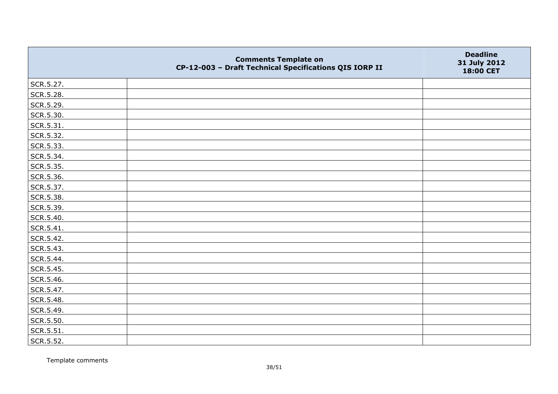|           | <b>Comments Template on</b><br>CP-12-003 - Draft Technical Specifications QIS IORP II | <b>Deadline</b><br>31 July 2012<br>18:00 CET |
|-----------|---------------------------------------------------------------------------------------|----------------------------------------------|
| SCR.5.27. |                                                                                       |                                              |
| SCR.5.28. |                                                                                       |                                              |
| SCR.5.29. |                                                                                       |                                              |
| SCR.5.30. |                                                                                       |                                              |
| SCR.5.31. |                                                                                       |                                              |
| SCR.5.32. |                                                                                       |                                              |
| SCR.5.33. |                                                                                       |                                              |
| SCR.5.34. |                                                                                       |                                              |
| SCR.5.35. |                                                                                       |                                              |
| SCR.5.36. |                                                                                       |                                              |
| SCR.5.37. |                                                                                       |                                              |
| SCR.5.38. |                                                                                       |                                              |
| SCR.5.39. |                                                                                       |                                              |
| SCR.5.40. |                                                                                       |                                              |
| SCR.5.41. |                                                                                       |                                              |
| SCR.5.42. |                                                                                       |                                              |
| SCR.5.43. |                                                                                       |                                              |
| SCR.5.44. |                                                                                       |                                              |
| SCR.5.45. |                                                                                       |                                              |
| SCR.5.46. |                                                                                       |                                              |
| SCR.5.47. |                                                                                       |                                              |
| SCR.5.48. |                                                                                       |                                              |
| SCR.5.49. |                                                                                       |                                              |
| SCR.5.50. |                                                                                       |                                              |
| SCR.5.51. |                                                                                       |                                              |
| SCR.5.52. |                                                                                       |                                              |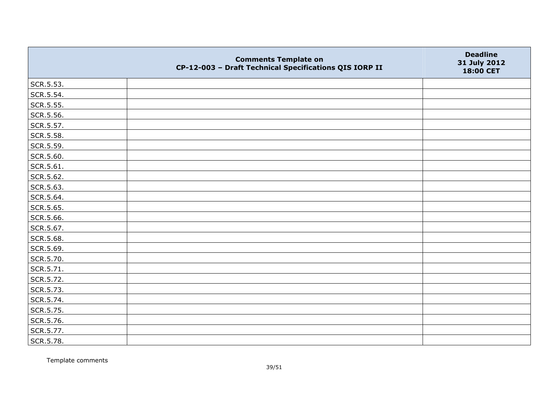|           | <b>Comments Template on</b><br>CP-12-003 - Draft Technical Specifications QIS IORP II | <b>Deadline</b><br>31 July 2012<br>18:00 CET |
|-----------|---------------------------------------------------------------------------------------|----------------------------------------------|
| SCR.5.53. |                                                                                       |                                              |
| SCR.5.54. |                                                                                       |                                              |
| SCR.5.55. |                                                                                       |                                              |
| SCR.5.56. |                                                                                       |                                              |
| SCR.5.57. |                                                                                       |                                              |
| SCR.5.58. |                                                                                       |                                              |
| SCR.5.59. |                                                                                       |                                              |
| SCR.5.60. |                                                                                       |                                              |
| SCR.5.61. |                                                                                       |                                              |
| SCR.5.62. |                                                                                       |                                              |
| SCR.5.63. |                                                                                       |                                              |
| SCR.5.64. |                                                                                       |                                              |
| SCR.5.65. |                                                                                       |                                              |
| SCR.5.66. |                                                                                       |                                              |
| SCR.5.67. |                                                                                       |                                              |
| SCR.5.68. |                                                                                       |                                              |
| SCR.5.69. |                                                                                       |                                              |
| SCR.5.70. |                                                                                       |                                              |
| SCR.5.71. |                                                                                       |                                              |
| SCR.5.72. |                                                                                       |                                              |
| SCR.5.73. |                                                                                       |                                              |
| SCR.5.74. |                                                                                       |                                              |
| SCR.5.75. |                                                                                       |                                              |
| SCR.5.76. |                                                                                       |                                              |
| SCR.5.77. |                                                                                       |                                              |
| SCR.5.78. |                                                                                       |                                              |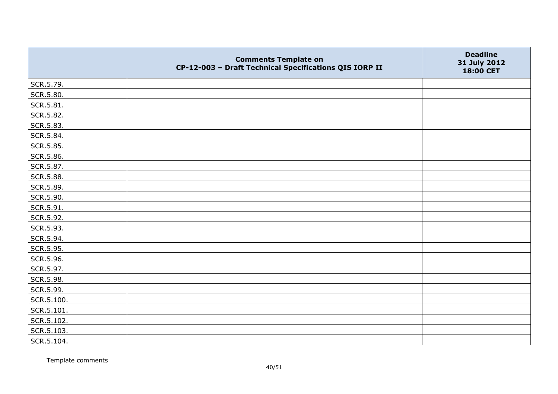|            | <b>Comments Template on</b><br>CP-12-003 - Draft Technical Specifications QIS IORP II | <b>Deadline</b><br>31 July 2012<br>18:00 CET |
|------------|---------------------------------------------------------------------------------------|----------------------------------------------|
| SCR.5.79.  |                                                                                       |                                              |
| SCR.5.80.  |                                                                                       |                                              |
| SCR.5.81.  |                                                                                       |                                              |
| SCR.5.82.  |                                                                                       |                                              |
| SCR.5.83.  |                                                                                       |                                              |
| SCR.5.84.  |                                                                                       |                                              |
| SCR.5.85.  |                                                                                       |                                              |
| SCR.5.86.  |                                                                                       |                                              |
| SCR.5.87.  |                                                                                       |                                              |
| SCR.5.88.  |                                                                                       |                                              |
| SCR.5.89.  |                                                                                       |                                              |
| SCR.5.90.  |                                                                                       |                                              |
| SCR.5.91.  |                                                                                       |                                              |
| SCR.5.92.  |                                                                                       |                                              |
| SCR.5.93.  |                                                                                       |                                              |
| SCR.5.94.  |                                                                                       |                                              |
| SCR.5.95.  |                                                                                       |                                              |
| SCR.5.96.  |                                                                                       |                                              |
| SCR.5.97.  |                                                                                       |                                              |
| SCR.5.98.  |                                                                                       |                                              |
| SCR.5.99.  |                                                                                       |                                              |
| SCR.5.100. |                                                                                       |                                              |
| SCR.5.101. |                                                                                       |                                              |
| SCR.5.102. |                                                                                       |                                              |
| SCR.5.103. |                                                                                       |                                              |
| SCR.5.104. |                                                                                       |                                              |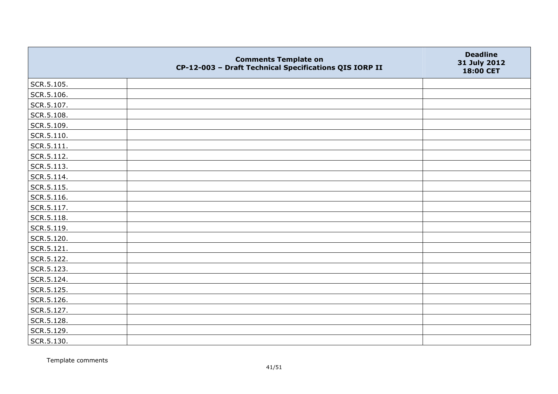|                | <b>Comments Template on</b><br>CP-12-003 - Draft Technical Specifications QIS IORP II | <b>Deadline</b><br>31 July 2012<br>18:00 CET |
|----------------|---------------------------------------------------------------------------------------|----------------------------------------------|
| SCR.5.105.     |                                                                                       |                                              |
| SCR.5.106.     |                                                                                       |                                              |
| SCR.5.107.     |                                                                                       |                                              |
| SCR.5.108.     |                                                                                       |                                              |
| SCR.5.109.     |                                                                                       |                                              |
| $ $ SCR.5.110. |                                                                                       |                                              |
| SCR.5.111.     |                                                                                       |                                              |
| SCR.5.112.     |                                                                                       |                                              |
| SCR.5.113.     |                                                                                       |                                              |
| SCR.5.114.     |                                                                                       |                                              |
| SCR.5.115.     |                                                                                       |                                              |
| SCR.5.116.     |                                                                                       |                                              |
| SCR.5.117.     |                                                                                       |                                              |
| SCR.5.118.     |                                                                                       |                                              |
| SCR.5.119.     |                                                                                       |                                              |
| SCR.5.120.     |                                                                                       |                                              |
| $ $ SCR.5.121. |                                                                                       |                                              |
| SCR.5.122.     |                                                                                       |                                              |
| SCR.5.123.     |                                                                                       |                                              |
| SCR.5.124.     |                                                                                       |                                              |
| SCR.5.125.     |                                                                                       |                                              |
| SCR.5.126.     |                                                                                       |                                              |
| SCR.5.127.     |                                                                                       |                                              |
| SCR.5.128.     |                                                                                       |                                              |
| SCR.5.129.     |                                                                                       |                                              |
| SCR.5.130.     |                                                                                       |                                              |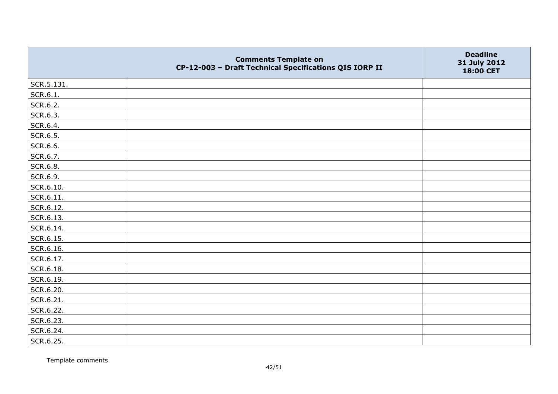|                   | <b>Comments Template on</b><br>CP-12-003 - Draft Technical Specifications QIS IORP II | <b>Deadline</b><br>31 July 2012<br>18:00 CET |
|-------------------|---------------------------------------------------------------------------------------|----------------------------------------------|
| SCR.5.131.        |                                                                                       |                                              |
| SCR.6.1.          |                                                                                       |                                              |
| SCR.6.2.          |                                                                                       |                                              |
| SCR.6.3.          |                                                                                       |                                              |
| SCR.6.4.          |                                                                                       |                                              |
| SCR.6.5.          |                                                                                       |                                              |
| SCR.6.6.          |                                                                                       |                                              |
| SCR.6.7.          |                                                                                       |                                              |
| SCR.6.8.          |                                                                                       |                                              |
| SCR.6.9.          |                                                                                       |                                              |
| SCR.6.10.         |                                                                                       |                                              |
| $\vert$ SCR.6.11. |                                                                                       |                                              |
| SCR.6.12.         |                                                                                       |                                              |
| SCR.6.13.         |                                                                                       |                                              |
| SCR.6.14.         |                                                                                       |                                              |
| SCR.6.15.         |                                                                                       |                                              |
| SCR.6.16.         |                                                                                       |                                              |
| SCR.6.17.         |                                                                                       |                                              |
| SCR.6.18.         |                                                                                       |                                              |
| SCR.6.19.         |                                                                                       |                                              |
| SCR.6.20.         |                                                                                       |                                              |
| SCR.6.21.         |                                                                                       |                                              |
| SCR.6.22.         |                                                                                       |                                              |
| SCR.6.23.         |                                                                                       |                                              |
| SCR.6.24.         |                                                                                       |                                              |
| SCR.6.25.         |                                                                                       |                                              |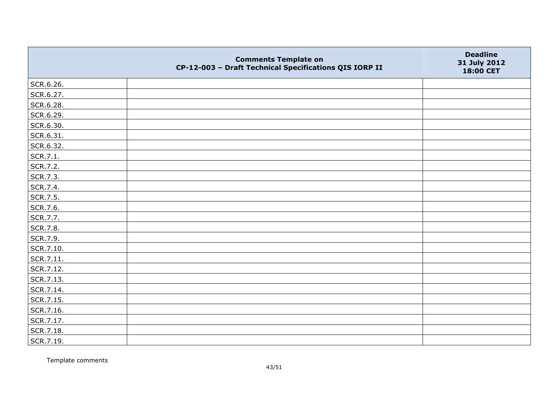|           | <b>Comments Template on</b><br>CP-12-003 - Draft Technical Specifications QIS IORP II | <b>Deadline</b><br>31 July 2012<br>18:00 CET |
|-----------|---------------------------------------------------------------------------------------|----------------------------------------------|
| SCR.6.26. |                                                                                       |                                              |
| SCR.6.27. |                                                                                       |                                              |
| SCR.6.28. |                                                                                       |                                              |
| SCR.6.29. |                                                                                       |                                              |
| SCR.6.30. |                                                                                       |                                              |
| SCR.6.31. |                                                                                       |                                              |
| SCR.6.32. |                                                                                       |                                              |
| SCR.7.1.  |                                                                                       |                                              |
| SCR.7.2.  |                                                                                       |                                              |
| SCR.7.3.  |                                                                                       |                                              |
| SCR.7.4.  |                                                                                       |                                              |
| SCR.7.5.  |                                                                                       |                                              |
| SCR.7.6.  |                                                                                       |                                              |
| SCR.7.7.  |                                                                                       |                                              |
| SCR.7.8.  |                                                                                       |                                              |
| SCR.7.9.  |                                                                                       |                                              |
| SCR.7.10. |                                                                                       |                                              |
| SCR.7.11. |                                                                                       |                                              |
| SCR.7.12. |                                                                                       |                                              |
| SCR.7.13. |                                                                                       |                                              |
| SCR.7.14. |                                                                                       |                                              |
| SCR.7.15. |                                                                                       |                                              |
| SCR.7.16. |                                                                                       |                                              |
| SCR.7.17. |                                                                                       |                                              |
| SCR.7.18. |                                                                                       |                                              |
| SCR.7.19. |                                                                                       |                                              |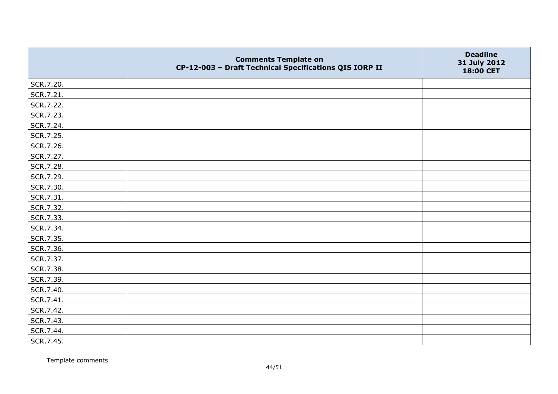|           | <b>Comments Template on</b><br>CP-12-003 - Draft Technical Specifications QIS IORP II | <b>Deadline</b><br>31 July 2012<br>18:00 CET |
|-----------|---------------------------------------------------------------------------------------|----------------------------------------------|
| SCR.7.20. |                                                                                       |                                              |
| SCR.7.21. |                                                                                       |                                              |
| SCR.7.22. |                                                                                       |                                              |
| SCR.7.23. |                                                                                       |                                              |
| SCR.7.24. |                                                                                       |                                              |
| SCR.7.25. |                                                                                       |                                              |
| SCR.7.26. |                                                                                       |                                              |
| SCR.7.27. |                                                                                       |                                              |
| SCR.7.28. |                                                                                       |                                              |
| SCR.7.29. |                                                                                       |                                              |
| SCR.7.30. |                                                                                       |                                              |
| SCR.7.31. |                                                                                       |                                              |
| SCR.7.32. |                                                                                       |                                              |
| SCR.7.33. |                                                                                       |                                              |
| SCR.7.34. |                                                                                       |                                              |
| SCR.7.35. |                                                                                       |                                              |
| SCR.7.36. |                                                                                       |                                              |
| SCR.7.37. |                                                                                       |                                              |
| SCR.7.38. |                                                                                       |                                              |
| SCR.7.39. |                                                                                       |                                              |
| SCR.7.40. |                                                                                       |                                              |
| SCR.7.41. |                                                                                       |                                              |
| SCR.7.42. |                                                                                       |                                              |
| SCR.7.43. |                                                                                       |                                              |
| SCR.7.44. |                                                                                       |                                              |
| SCR.7.45. |                                                                                       |                                              |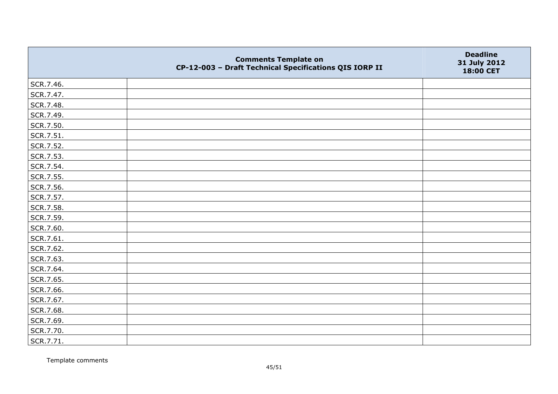|           | <b>Comments Template on</b><br>CP-12-003 - Draft Technical Specifications QIS IORP II | <b>Deadline</b><br>31 July 2012<br>18:00 CET |
|-----------|---------------------------------------------------------------------------------------|----------------------------------------------|
| SCR.7.46. |                                                                                       |                                              |
| SCR.7.47. |                                                                                       |                                              |
| SCR.7.48. |                                                                                       |                                              |
| SCR.7.49. |                                                                                       |                                              |
| SCR.7.50. |                                                                                       |                                              |
| SCR.7.51. |                                                                                       |                                              |
| SCR.7.52. |                                                                                       |                                              |
| SCR.7.53. |                                                                                       |                                              |
| SCR.7.54. |                                                                                       |                                              |
| SCR.7.55. |                                                                                       |                                              |
| SCR.7.56. |                                                                                       |                                              |
| SCR.7.57. |                                                                                       |                                              |
| SCR.7.58. |                                                                                       |                                              |
| SCR.7.59. |                                                                                       |                                              |
| SCR.7.60. |                                                                                       |                                              |
| SCR.7.61. |                                                                                       |                                              |
| SCR.7.62. |                                                                                       |                                              |
| SCR.7.63. |                                                                                       |                                              |
| SCR.7.64. |                                                                                       |                                              |
| SCR.7.65. |                                                                                       |                                              |
| SCR.7.66. |                                                                                       |                                              |
| SCR.7.67. |                                                                                       |                                              |
| SCR.7.68. |                                                                                       |                                              |
| SCR.7.69. |                                                                                       |                                              |
| SCR.7.70. |                                                                                       |                                              |
| SCR.7.71. |                                                                                       |                                              |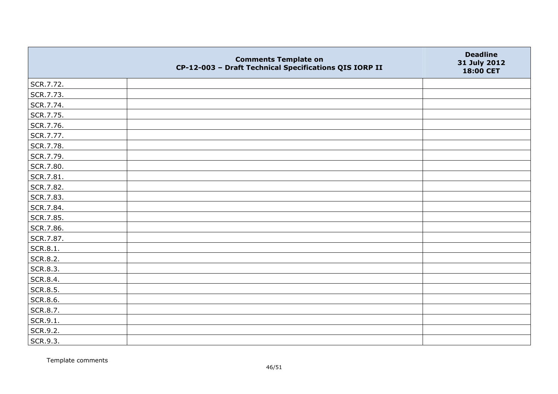|           | <b>Comments Template on</b><br>CP-12-003 - Draft Technical Specifications QIS IORP II | <b>Deadline</b><br>31 July 2012<br>18:00 CET |
|-----------|---------------------------------------------------------------------------------------|----------------------------------------------|
| SCR.7.72. |                                                                                       |                                              |
| SCR.7.73. |                                                                                       |                                              |
| SCR.7.74. |                                                                                       |                                              |
| SCR.7.75. |                                                                                       |                                              |
| SCR.7.76. |                                                                                       |                                              |
| SCR.7.77. |                                                                                       |                                              |
| SCR.7.78. |                                                                                       |                                              |
| SCR.7.79. |                                                                                       |                                              |
| SCR.7.80. |                                                                                       |                                              |
| SCR.7.81. |                                                                                       |                                              |
| SCR.7.82. |                                                                                       |                                              |
| SCR.7.83. |                                                                                       |                                              |
| SCR.7.84. |                                                                                       |                                              |
| SCR.7.85. |                                                                                       |                                              |
| SCR.7.86. |                                                                                       |                                              |
| SCR.7.87. |                                                                                       |                                              |
| SCR.8.1.  |                                                                                       |                                              |
| SCR.8.2.  |                                                                                       |                                              |
| SCR.8.3.  |                                                                                       |                                              |
| SCR.8.4.  |                                                                                       |                                              |
| SCR.8.5.  |                                                                                       |                                              |
| SCR.8.6.  |                                                                                       |                                              |
| SCR.8.7.  |                                                                                       |                                              |
| SCR.9.1.  |                                                                                       |                                              |
| SCR.9.2.  |                                                                                       |                                              |
| SCR.9.3.  |                                                                                       |                                              |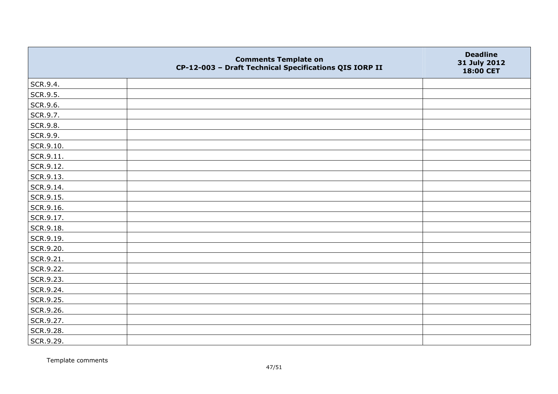|           | <b>Comments Template on</b><br>CP-12-003 - Draft Technical Specifications QIS IORP II | <b>Deadline</b><br>31 July 2012<br>18:00 CET |
|-----------|---------------------------------------------------------------------------------------|----------------------------------------------|
| SCR.9.4.  |                                                                                       |                                              |
| SCR.9.5.  |                                                                                       |                                              |
| SCR.9.6.  |                                                                                       |                                              |
| SCR.9.7.  |                                                                                       |                                              |
| SCR.9.8.  |                                                                                       |                                              |
| SCR.9.9.  |                                                                                       |                                              |
| SCR.9.10. |                                                                                       |                                              |
| SCR.9.11. |                                                                                       |                                              |
| SCR.9.12. |                                                                                       |                                              |
| SCR.9.13. |                                                                                       |                                              |
| SCR.9.14. |                                                                                       |                                              |
| SCR.9.15. |                                                                                       |                                              |
| SCR.9.16. |                                                                                       |                                              |
| SCR.9.17. |                                                                                       |                                              |
| SCR.9.18. |                                                                                       |                                              |
| SCR.9.19. |                                                                                       |                                              |
| SCR.9.20. |                                                                                       |                                              |
| SCR.9.21. |                                                                                       |                                              |
| SCR.9.22. |                                                                                       |                                              |
| SCR.9.23. |                                                                                       |                                              |
| SCR.9.24. |                                                                                       |                                              |
| SCR.9.25. |                                                                                       |                                              |
| SCR.9.26. |                                                                                       |                                              |
| SCR.9.27. |                                                                                       |                                              |
| SCR.9.28. |                                                                                       |                                              |
| SCR.9.29. |                                                                                       |                                              |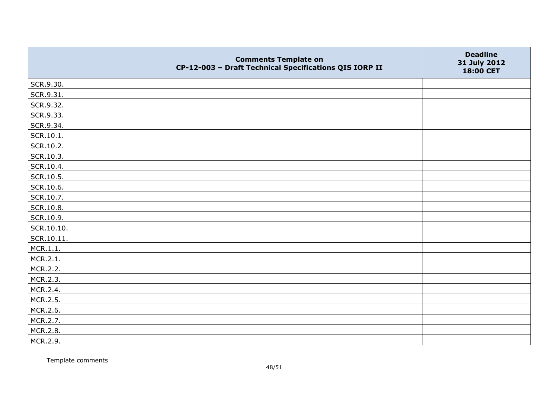|            | <b>Comments Template on</b><br>CP-12-003 - Draft Technical Specifications QIS IORP II | <b>Deadline</b><br>31 July 2012<br>18:00 CET |
|------------|---------------------------------------------------------------------------------------|----------------------------------------------|
| SCR.9.30.  |                                                                                       |                                              |
| SCR.9.31.  |                                                                                       |                                              |
| SCR.9.32.  |                                                                                       |                                              |
| SCR.9.33.  |                                                                                       |                                              |
| SCR.9.34.  |                                                                                       |                                              |
| SCR.10.1.  |                                                                                       |                                              |
| SCR.10.2.  |                                                                                       |                                              |
| SCR.10.3.  |                                                                                       |                                              |
| SCR.10.4.  |                                                                                       |                                              |
| SCR.10.5.  |                                                                                       |                                              |
| SCR.10.6.  |                                                                                       |                                              |
| SCR.10.7.  |                                                                                       |                                              |
| SCR.10.8.  |                                                                                       |                                              |
| SCR.10.9.  |                                                                                       |                                              |
| SCR.10.10. |                                                                                       |                                              |
| SCR.10.11. |                                                                                       |                                              |
| MCR.1.1.   |                                                                                       |                                              |
| MCR.2.1.   |                                                                                       |                                              |
| MCR.2.2.   |                                                                                       |                                              |
| MCR.2.3.   |                                                                                       |                                              |
| MCR.2.4.   |                                                                                       |                                              |
| MCR.2.5.   |                                                                                       |                                              |
| MCR.2.6.   |                                                                                       |                                              |
| MCR.2.7.   |                                                                                       |                                              |
| MCR.2.8.   |                                                                                       |                                              |
| MCR.2.9.   |                                                                                       |                                              |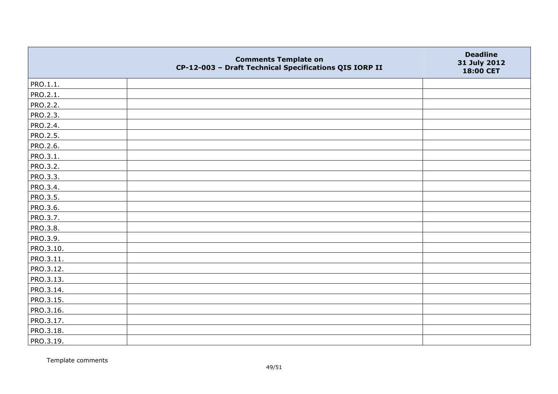|           | <b>Comments Template on</b><br>CP-12-003 - Draft Technical Specifications QIS IORP II | <b>Deadline</b><br>31 July 2012<br>18:00 CET |
|-----------|---------------------------------------------------------------------------------------|----------------------------------------------|
| PRO.1.1.  |                                                                                       |                                              |
| PRO.2.1.  |                                                                                       |                                              |
| PRO.2.2.  |                                                                                       |                                              |
| PRO.2.3.  |                                                                                       |                                              |
| PRO.2.4.  |                                                                                       |                                              |
| PRO.2.5.  |                                                                                       |                                              |
| PRO.2.6.  |                                                                                       |                                              |
| PRO.3.1.  |                                                                                       |                                              |
| PRO.3.2.  |                                                                                       |                                              |
| PRO.3.3.  |                                                                                       |                                              |
| PRO.3.4.  |                                                                                       |                                              |
| PRO.3.5.  |                                                                                       |                                              |
| PRO.3.6.  |                                                                                       |                                              |
| PRO.3.7.  |                                                                                       |                                              |
| PRO.3.8.  |                                                                                       |                                              |
| PRO.3.9.  |                                                                                       |                                              |
| PRO.3.10. |                                                                                       |                                              |
| PRO.3.11. |                                                                                       |                                              |
| PRO.3.12. |                                                                                       |                                              |
| PRO.3.13. |                                                                                       |                                              |
| PRO.3.14. |                                                                                       |                                              |
| PRO.3.15. |                                                                                       |                                              |
| PRO.3.16. |                                                                                       |                                              |
| PRO.3.17. |                                                                                       |                                              |
| PRO.3.18. |                                                                                       |                                              |
| PRO.3.19. |                                                                                       |                                              |